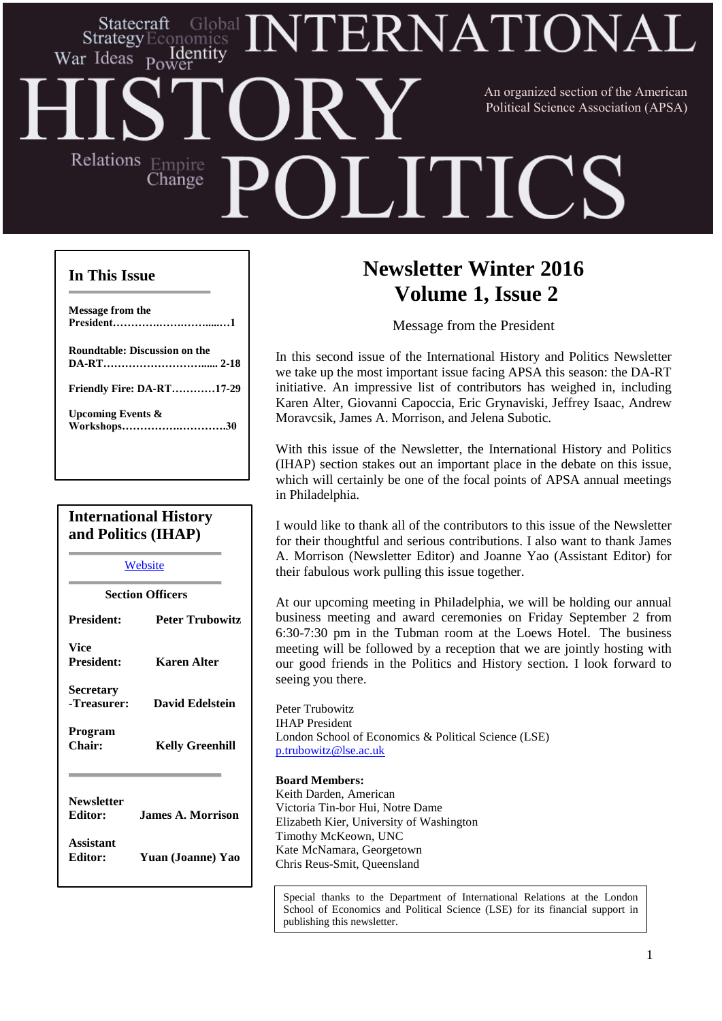## ERNATIONA Statecraft Identity War Ideas An organized section of the American Political Science Association (APSA)Relations Empire  $\Box$   $\Box$   $\Box$ Change

### **In This Issue**

| <b>Message from the</b>                     |
|---------------------------------------------|
| <b>Roundtable: Discussion on the</b>        |
| Friendly Fire: DA-RT17-29                   |
| <b>Upcoming Events &amp;</b><br>Workshops30 |

### **International History and Politics (IHAP)**

| Website                         |                          |  |  |  |  |  |
|---------------------------------|--------------------------|--|--|--|--|--|
| <b>Section Officers</b>         |                          |  |  |  |  |  |
| <b>President:</b>               | <b>Peter Trubowitz</b>   |  |  |  |  |  |
| Vice                            |                          |  |  |  |  |  |
| <b>President:</b>               | <b>Karen Alter</b>       |  |  |  |  |  |
| <b>Secretary</b><br>-Treasurer: | David Edelstein          |  |  |  |  |  |
| Program                         |                          |  |  |  |  |  |
| Chair:                          | <b>Kelly Greenhill</b>   |  |  |  |  |  |
|                                 |                          |  |  |  |  |  |
| <b>Newsletter</b>               |                          |  |  |  |  |  |
| <b>Editor:</b>                  | <b>James A. Morrison</b> |  |  |  |  |  |
| <b>Assistant</b>                |                          |  |  |  |  |  |
| Editor:                         | Yuan (Joanne) Yao        |  |  |  |  |  |

# **Newsletter Winter 2016 Volume 1, Issue 2**

Message from the President

In this second issue of the International History and Politics Newsletter we take up the most important issue facing APSA this season: the DA-RT initiative. An impressive list of contributors has weighed in, including Karen Alter, Giovanni Capoccia, Eric Grynaviski, Jeffrey Isaac, Andrew Moravcsik, James A. Morrison, and Jelena Subotic.

With this issue of the Newsletter, the International History and Politics (IHAP) section stakes out an important place in the debate on this issue, which will certainly be one of the focal points of APSA annual meetings in Philadelphia.

I would like to thank all of the contributors to this issue of the Newsletter for their thoughtful and serious contributions. I also want to thank James A. Morrison (Newsletter Editor) and Joanne Yao (Assistant Editor) for their fabulous work pulling this issue together.

At our upcoming meeting in Philadelphia, we will be holding our annual business meeting and award ceremonies on Friday September 2 from 6:30-7:30 pm in the Tubman room at the Loews Hotel. The business meeting will be followed by a reception that we are jointly hosting with our good friends in the Politics and History section. I look forward to seeing you there.

Peter Trubowitz IHAP President London School of Economics & Political Science (LSE) [p.trubowitz@lse.ac.uk](mailto:p.trubowitz@lse.ac.uk)

#### **Board Members:**

Keith Darden, American Victoria Tin-bor Hui, Notre Dame Elizabeth Kier, University of Washington Timothy McKeown, UNC Kate McNamara, Georgetown Chris Reus-Smit, Queensland

Special thanks to the Department of International Relations at the London School of Economics and Political Science (LSE) for its financial support in publishing this newsletter.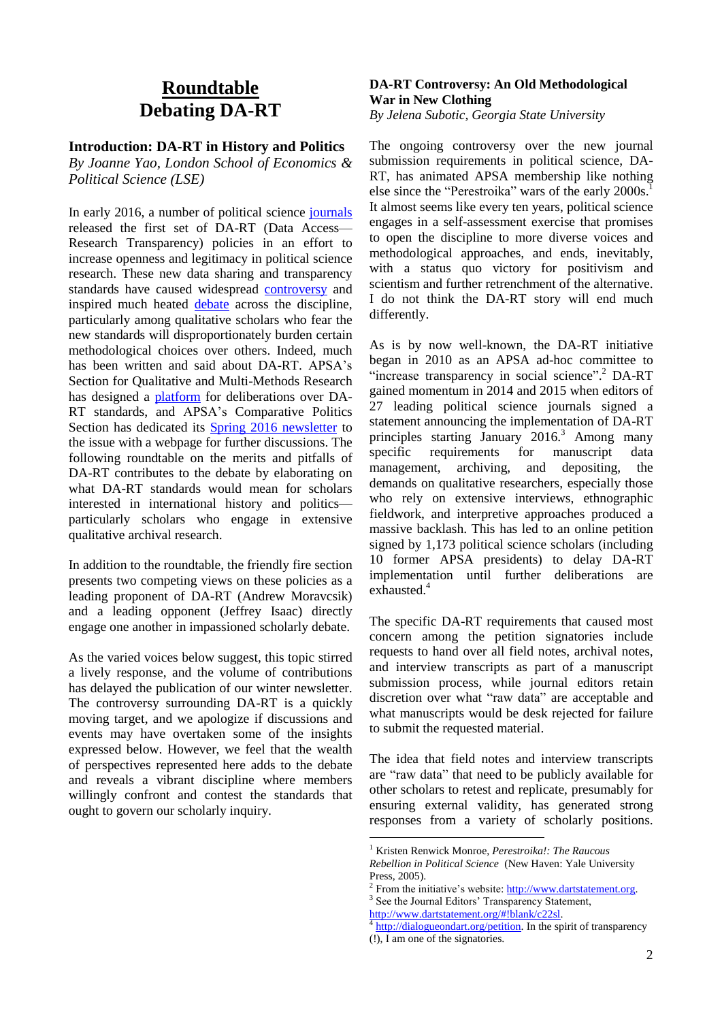### **Roundtable Debating DA-RT**

#### **Introduction: DA-RT in History and Politics**

*By Joanne Yao, London School of Economics & Political Science (LSE)*

In early 2016, a number of political science [journals](http://www.dartstatement.org/#!2016-da-rt-journal-policy-archive/drgyn) released the first set of DA-RT (Data Access— Research Transparency) policies in an effort to increase openness and legitimacy in political science research. These new data sharing and transparency standards have caused widespread [controversy](https://docs.google.com/forms/d/1BWFO6462XNPBO8MyxV5WAcFtWn4m0fSXuOwq84FodKM/viewform) and inspired much heated [debate](https://dialogueondart.org/) across the discipline, particularly among qualitative scholars who fear the new standards will disproportionately burden certain methodological choices over others. Indeed, much has been written and said about DA-RT. APSA's Section for Qualitative and Multi-Methods Research has designed a [platform](https://www.qualtd.net/) for deliberations over DA-RT standards, and APSA's Comparative Politics Section has dedicated its Spring 2016 [newsletter](http://comparativenewsletter.com/files/archived_newsletters/newsletter_spring2016.pdf) to the issue with a webpage for further discussions. The following roundtable on the merits and pitfalls of DA-RT contributes to the debate by elaborating on what DA-RT standards would mean for scholars interested in international history and politics particularly scholars who engage in extensive qualitative archival research.

In addition to the roundtable, the friendly fire section presents two competing views on these policies as a leading proponent of DA-RT (Andrew Moravcsik) and a leading opponent (Jeffrey Isaac) directly engage one another in impassioned scholarly debate.

As the varied voices below suggest, this topic stirred a lively response, and the volume of contributions has delayed the publication of our winter newsletter. The controversy surrounding DA-RT is a quickly moving target, and we apologize if discussions and events may have overtaken some of the insights expressed below. However, we feel that the wealth of perspectives represented here adds to the debate and reveals a vibrant discipline where members willingly confront and contest the standards that ought to govern our scholarly inquiry.

### **DA-RT Controversy: An Old Methodological War in New Clothing**

*By Jelena Subotic, Georgia State University*

The ongoing controversy over the new journal submission requirements in political science, DA-RT, has animated APSA membership like nothing else since the "Perestroika" wars of the early 2000s.<sup>1</sup> It almost seems like every ten years, political science engages in a self-assessment exercise that promises to open the discipline to more diverse voices and methodological approaches, and ends, inevitably, with a status quo victory for positivism and scientism and further retrenchment of the alternative. I do not think the DA-RT story will end much differently.

As is by now well-known, the DA-RT initiative began in 2010 as an APSA ad-hoc committee to "increase transparency in social science".<sup>2</sup> DA-RT gained momentum in 2014 and 2015 when editors of 27 leading political science journals signed a statement announcing the implementation of DA-RT principles starting January 2016.<sup>3</sup> Among many specific requirements for manuscript data management, archiving, and depositing, the demands on qualitative researchers, especially those who rely on extensive interviews, ethnographic fieldwork, and interpretive approaches produced a massive backlash. This has led to an online petition signed by 1,173 political science scholars (including 10 former APSA presidents) to delay DA-RT implementation until further deliberations are exhausted.<sup>4</sup>

The specific DA-RT requirements that caused most concern among the petition signatories include requests to hand over all field notes, archival notes, and interview transcripts as part of a manuscript submission process, while journal editors retain discretion over what "raw data" are acceptable and what manuscripts would be desk rejected for failure to submit the requested material.

The idea that field notes and interview transcripts are "raw data" that need to be publicly available for other scholars to retest and replicate, presumably for ensuring external validity, has generated strong responses from a variety of scholarly positions.

<sup>1</sup> Kristen Renwick Monroe, *Perestroika!: The Raucous Rebellion in Political Science* (New Haven: Yale University Press, 2005).

 $2$  From the initiative's website:  $\frac{http://www.dartstatement.org}{http://www.dartstatement.org}$ .

<sup>&</sup>lt;sup>3</sup> See the Journal Editors' Transparency Statement, [http://www.dartstatement.org/#!blank/c22sl.](http://www.dartstatement.org/#!blank/c22sl)

<sup>&</sup>lt;sup>4</sup> [http://dialogueondart.org/petition.](http://dialogueondart.org/petition) In the spirit of transparency (!), I am one of the signatories.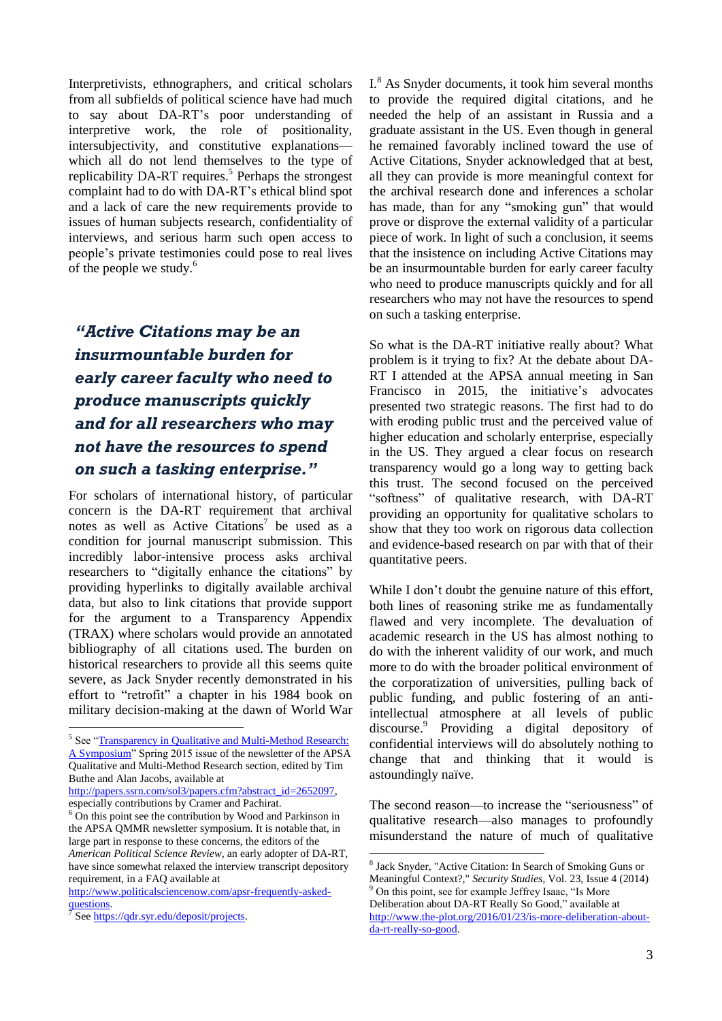Interpretivists, ethnographers, and critical scholars from all subfields of political science have had much to say about DA-RT's poor understanding of interpretive work, the role of positionality, intersubjectivity, and constitutive explanations which all do not lend themselves to the type of replicability DA-RT requires.<sup>5</sup> Perhaps the strongest complaint had to do with DA-RT's ethical blind spot and a lack of care the new requirements provide to issues of human subjects research, confidentiality of interviews, and serious harm such open access to people's private testimonies could pose to real lives of the people we study.<sup>6</sup>

## *"Active Citations may be an insurmountable burden for early career faculty who need to produce manuscripts quickly and for all researchers who may not have the resources to spend on such a tasking enterprise."*

For scholars of international history, of particular concern is the DA-RT requirement that archival notes as well as Active Citations<sup>7</sup> be used as a condition for journal manuscript submission. This incredibly labor-intensive process asks archival researchers to "digitally enhance the citations" by providing hyperlinks to digitally available archival data, but also to link citations that provide support for the argument to a Transparency Appendix (TRAX) where scholars would provide an annotated bibliography of all citations used. The burden on historical researchers to provide all this seems quite severe, as Jack Snyder recently demonstrated in his effort to "retrofit" a chapter in his 1984 book on military decision-making at the dawn of World War

<u>.</u>

I.<sup>8</sup> As Snyder documents, it took him several months to provide the required digital citations, and he needed the help of an assistant in Russia and a graduate assistant in the US. Even though in general he remained favorably inclined toward the use of Active Citations, Snyder acknowledged that at best, all they can provide is more meaningful context for the archival research done and inferences a scholar has made, than for any "smoking gun" that would prove or disprove the external validity of a particular piece of work. In light of such a conclusion, it seems that the insistence on including Active Citations may be an insurmountable burden for early career faculty who need to produce manuscripts quickly and for all researchers who may not have the resources to spend on such a tasking enterprise.

So what is the DA-RT initiative really about? What problem is it trying to fix? At the debate about DA-RT I attended at the APSA annual meeting in San Francisco in 2015, the initiative's advocates presented two strategic reasons. The first had to do with eroding public trust and the perceived value of higher education and scholarly enterprise, especially in the US. They argued a clear focus on research transparency would go a long way to getting back this trust. The second focused on the perceived "softness" of qualitative research, with DA-RT providing an opportunity for qualitative scholars to show that they too work on rigorous data collection and evidence-based research on par with that of their quantitative peers.

While I don't doubt the genuine nature of this effort, both lines of reasoning strike me as fundamentally flawed and very incomplete. The devaluation of academic research in the US has almost nothing to do with the inherent validity of our work, and much more to do with the broader political environment of the corporatization of universities, pulling back of public funding, and public fostering of an antiintellectual atmosphere at all levels of public discourse.<sup>9</sup> Providing a digital depository of confidential interviews will do absolutely nothing to change that and thinking that it would is astoundingly naïve.

The second reason—to increase the "seriousness" of qualitative research—also manages to profoundly misunderstand the nature of much of qualitative

<sup>&</sup>lt;sup>5</sup> See "Transparency in Qualitative and Multi-Method Research: [A Symposium"](http://papers.ssrn.com/sol3/papers.cfm?abstract_id=2652097) Spring 2015 issue of the newsletter of the APSA Qualitative and Multi-Method Research section, edited by Tim Buthe and Alan Jacobs, available at

[http://papers.ssrn.com/sol3/papers.cfm?abstract\\_id=2652097,](http://papers.ssrn.com/sol3/papers.cfm?abstract_id=2652097) especially contributions by Cramer and Pachirat.

<sup>6</sup> On this point see the contribution by Wood and Parkinson in the APSA QMMR newsletter symposium. It is notable that, in large part in response to these concerns, the editors of the *American Political Science Review*, an early adopter of DA-RT, have since somewhat relaxed the interview transcript depository requirement, in a FAQ available at

[http://www.politicalsciencenow.com/apsr-frequently-asked](http://www.politicalsciencenow.com/apsr-frequently-asked-questions)[questions.](http://www.politicalsciencenow.com/apsr-frequently-asked-questions)

 $\sqrt{7}$  See [https://qdr.syr.edu/deposit/projects.](https://qdr.syr.edu/deposit/projects)

<sup>1</sup> <sup>8</sup> Jack Snyder, "Active Citation: In Search of Smoking Guns or Jack Snyder, "Active Citation: In Search of Smoking Guns or Meaningful Context?," *Security Studies,* Vol. 23, Issue 4 (2014)

<sup>9</sup> On this point, see for example Jeffrey Isaac, "Is More Deliberation about DA-RT Really So Good," available at [http://www.the-plot.org/2016/01/23/is-more-deliberation-about](http://www.the-plot.org/2016/01/23/is-more-deliberation-about-da-rt-really-so-good)[da-rt-really-so-good.](http://www.the-plot.org/2016/01/23/is-more-deliberation-about-da-rt-really-so-good)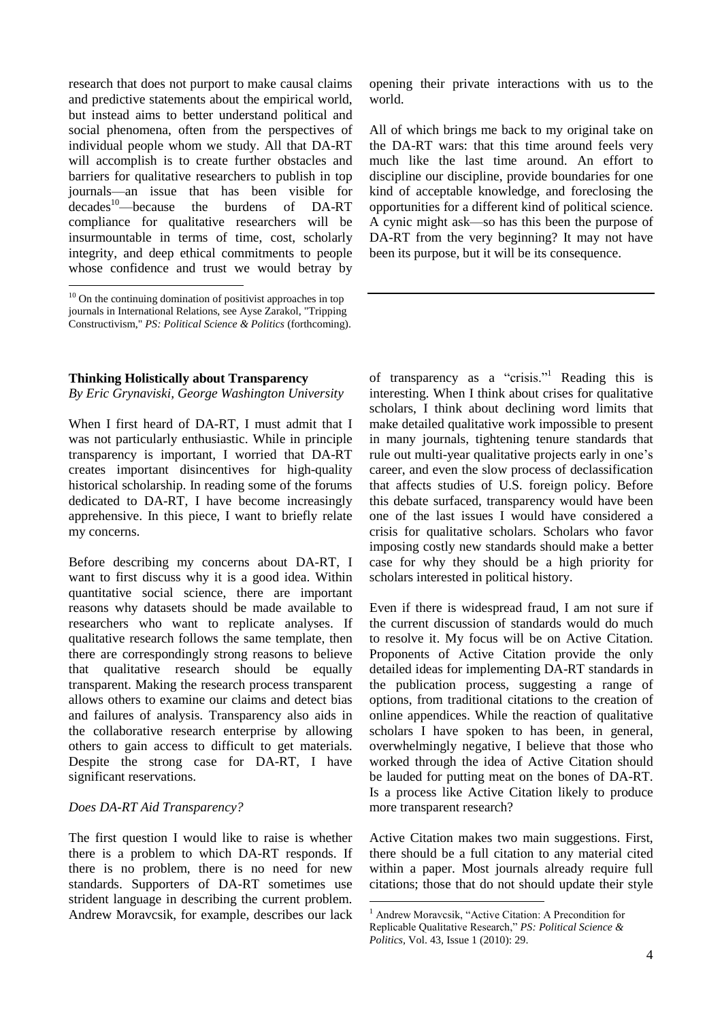research that does not purport to make causal claims and predictive statements about the empirical world, but instead aims to better understand political and social phenomena, often from the perspectives of individual people whom we study. All that DA-RT will accomplish is to create further obstacles and barriers for qualitative researchers to publish in top journals—an issue that has been visible for  $decades<sup>10</sup>$ -because the burdens of DA-RT compliance for qualitative researchers will be insurmountable in terms of time, cost, scholarly integrity, and deep ethical commitments to people whose confidence and trust we would betray by

#### **Thinking Holistically about Transparency**

<u>.</u>

*By Eric Grynaviski, George Washington University*

When I first heard of DA-RT, I must admit that I was not particularly enthusiastic. While in principle transparency is important, I worried that DA-RT creates important disincentives for high-quality historical scholarship. In reading some of the forums dedicated to DA-RT, I have become increasingly apprehensive. In this piece, I want to briefly relate my concerns.

Before describing my concerns about DA-RT, I want to first discuss why it is a good idea. Within quantitative social science, there are important reasons why datasets should be made available to researchers who want to replicate analyses. If qualitative research follows the same template, then there are correspondingly strong reasons to believe that qualitative research should be equally transparent. Making the research process transparent allows others to examine our claims and detect bias and failures of analysis. Transparency also aids in the collaborative research enterprise by allowing others to gain access to difficult to get materials. Despite the strong case for DA-RT, I have significant reservations.

#### *Does DA-RT Aid Transparency?*

The first question I would like to raise is whether there is a problem to which DA-RT responds. If there is no problem, there is no need for new standards. Supporters of DA-RT sometimes use strident language in describing the current problem. Andrew Moravcsik, for example, describes our lack opening their private interactions with us to the world.

All of which brings me back to my original take on the DA-RT wars: that this time around feels very much like the last time around. An effort to discipline our discipline, provide boundaries for one kind of acceptable knowledge, and foreclosing the opportunities for a different kind of political science. A cynic might ask—so has this been the purpose of DA-RT from the very beginning? It may not have been its purpose, but it will be its consequence.

of transparency as a "crisis."<sup>1</sup> Reading this is interesting. When I think about crises for qualitative scholars, I think about declining word limits that make detailed qualitative work impossible to present in many journals, tightening tenure standards that rule out multi-year qualitative projects early in one's career, and even the slow process of declassification that affects studies of U.S. foreign policy. Before this debate surfaced, transparency would have been one of the last issues I would have considered a crisis for qualitative scholars. Scholars who favor imposing costly new standards should make a better case for why they should be a high priority for scholars interested in political history.

Even if there is widespread fraud, I am not sure if the current discussion of standards would do much to resolve it. My focus will be on Active Citation. Proponents of Active Citation provide the only detailed ideas for implementing DA-RT standards in the publication process, suggesting a range of options, from traditional citations to the creation of online appendices. While the reaction of qualitative scholars I have spoken to has been, in general, overwhelmingly negative, I believe that those who worked through the idea of Active Citation should be lauded for putting meat on the bones of DA-RT. Is a process like Active Citation likely to produce more transparent research?

Active Citation makes two main suggestions. First, there should be a full citation to any material cited within a paper. Most journals already require full citations; those that do not should update their style

<sup>&</sup>lt;sup>10</sup> On the continuing domination of positivist approaches in top journals in International Relations, see Ayse Zarakol, "Tripping Constructivism," *PS: Political Science & Politics* (forthcoming).

<sup>&</sup>lt;sup>1</sup> Andrew Moravcsik, "Active Citation: A Precondition for Replicable Qualitative Research," *PS: Political Science & Politics,* Vol. 43, Issue 1 (2010): 29.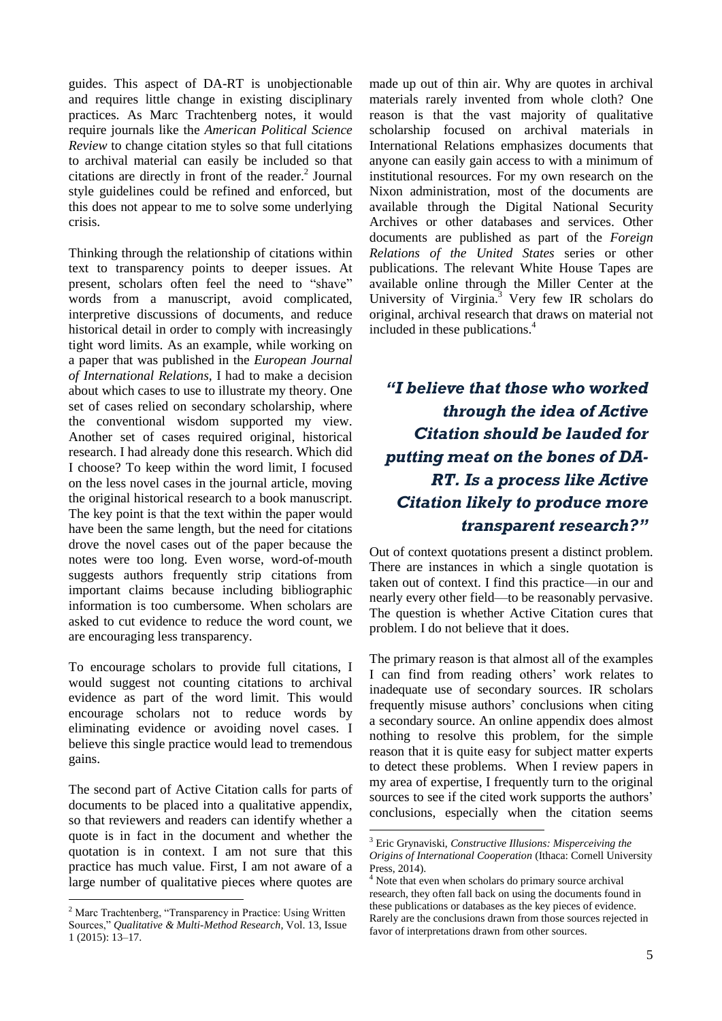guides. This aspect of DA-RT is unobjectionable and requires little change in existing disciplinary practices. As Marc Trachtenberg notes, it would require journals like the *American Political Science Review* to change citation styles so that full citations to archival material can easily be included so that citations are directly in front of the reader.<sup>2</sup> Journal style guidelines could be refined and enforced, but this does not appear to me to solve some underlying crisis.

Thinking through the relationship of citations within text to transparency points to deeper issues. At present, scholars often feel the need to "shave" words from a manuscript, avoid complicated, interpretive discussions of documents, and reduce historical detail in order to comply with increasingly tight word limits. As an example, while working on a paper that was published in the *European Journal of International Relations,* I had to make a decision about which cases to use to illustrate my theory. One set of cases relied on secondary scholarship, where the conventional wisdom supported my view. Another set of cases required original, historical research. I had already done this research. Which did I choose? To keep within the word limit, I focused on the less novel cases in the journal article, moving the original historical research to a book manuscript. The key point is that the text within the paper would have been the same length, but the need for citations drove the novel cases out of the paper because the notes were too long. Even worse, word-of-mouth suggests authors frequently strip citations from important claims because including bibliographic information is too cumbersome. When scholars are asked to cut evidence to reduce the word count, we are encouraging less transparency.

To encourage scholars to provide full citations, I would suggest not counting citations to archival evidence as part of the word limit. This would encourage scholars not to reduce words by eliminating evidence or avoiding novel cases. I believe this single practice would lead to tremendous gains.

The second part of Active Citation calls for parts of documents to be placed into a qualitative appendix, so that reviewers and readers can identify whether a quote is in fact in the document and whether the quotation is in context. I am not sure that this practice has much value. First, I am not aware of a large number of qualitative pieces where quotes are

<u>.</u>

made up out of thin air. Why are quotes in archival materials rarely invented from whole cloth? One reason is that the vast majority of qualitative scholarship focused on archival materials in International Relations emphasizes documents that anyone can easily gain access to with a minimum of institutional resources. For my own research on the Nixon administration, most of the documents are available through the Digital National Security Archives or other databases and services. Other documents are published as part of the *Foreign Relations of the United States* series or other publications. The relevant White House Tapes are available online through the Miller Center at the University of Virginia.<sup>3</sup> Very few IR scholars do original, archival research that draws on material not included in these publications.<sup>4</sup>

## *"I believe that those who worked through the idea of Active Citation should be lauded for putting meat on the bones of DA-RT. Is a process like Active Citation likely to produce more transparent research?"*

Out of context quotations present a distinct problem. There are instances in which a single quotation is taken out of context. I find this practice—in our and nearly every other field—to be reasonably pervasive. The question is whether Active Citation cures that problem. I do not believe that it does.

The primary reason is that almost all of the examples I can find from reading others' work relates to inadequate use of secondary sources. IR scholars frequently misuse authors' conclusions when citing a secondary source. An online appendix does almost nothing to resolve this problem, for the simple reason that it is quite easy for subject matter experts to detect these problems. When I review papers in my area of expertise, I frequently turn to the original sources to see if the cited work supports the authors' conclusions, especially when the citation seems

<sup>2</sup> Marc Trachtenberg, "Transparency in Practice: Using Written Sources," *Qualitative & Multi-Method Research,* Vol. 13, Issue  $1 (2015): 13-17.$ 

<sup>3</sup> Eric Grynaviski, *Constructive Illusions: Misperceiving the Origins of International Cooperation* (Ithaca: Cornell University Press, 2014).

<sup>&</sup>lt;sup>4</sup> Note that even when scholars do primary source archival research, they often fall back on using the documents found in these publications or databases as the key pieces of evidence. Rarely are the conclusions drawn from those sources rejected in favor of interpretations drawn from other sources.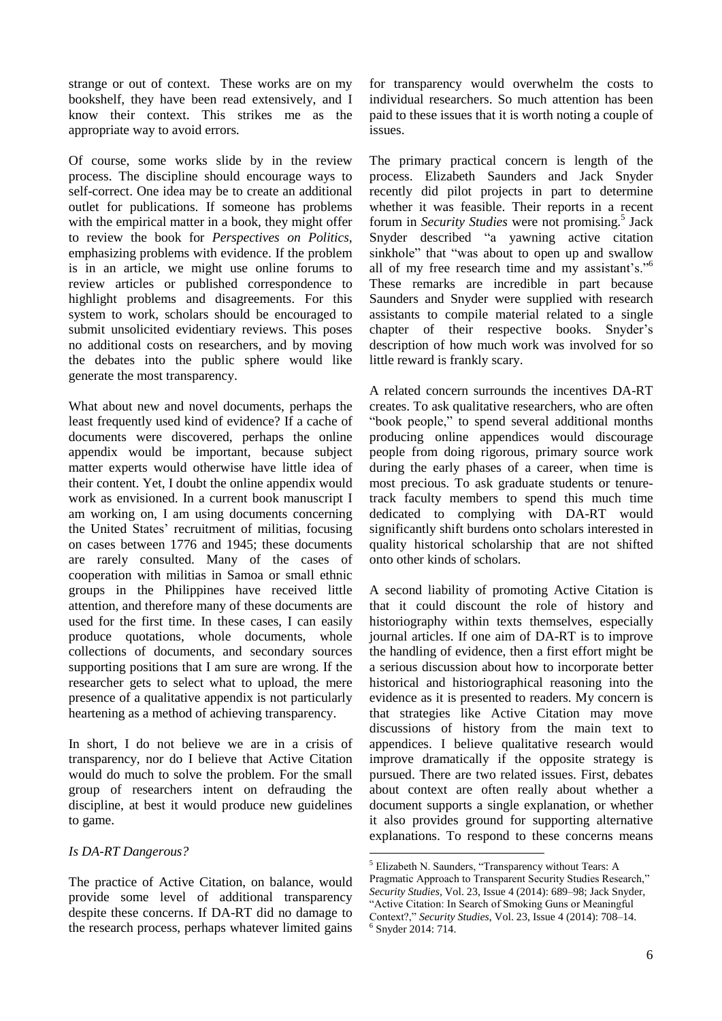strange or out of context. These works are on my bookshelf, they have been read extensively, and I know their context. This strikes me as the appropriate way to avoid errors.

Of course, some works slide by in the review process. The discipline should encourage ways to self-correct. One idea may be to create an additional outlet for publications. If someone has problems with the empirical matter in a book, they might offer to review the book for *Perspectives on Politics,* emphasizing problems with evidence. If the problem is in an article, we might use online forums to review articles or published correspondence to highlight problems and disagreements. For this system to work, scholars should be encouraged to submit unsolicited evidentiary reviews. This poses no additional costs on researchers, and by moving the debates into the public sphere would like generate the most transparency.

What about new and novel documents, perhaps the least frequently used kind of evidence? If a cache of documents were discovered, perhaps the online appendix would be important, because subject matter experts would otherwise have little idea of their content. Yet, I doubt the online appendix would work as envisioned. In a current book manuscript I am working on, I am using documents concerning the United States' recruitment of militias, focusing on cases between 1776 and 1945; these documents are rarely consulted. Many of the cases of cooperation with militias in Samoa or small ethnic groups in the Philippines have received little attention, and therefore many of these documents are used for the first time. In these cases, I can easily produce quotations, whole documents, whole collections of documents, and secondary sources supporting positions that I am sure are wrong. If the researcher gets to select what to upload, the mere presence of a qualitative appendix is not particularly heartening as a method of achieving transparency.

In short, I do not believe we are in a crisis of transparency, nor do I believe that Active Citation would do much to solve the problem. For the small group of researchers intent on defrauding the discipline, at best it would produce new guidelines to game.

#### *Is DA-RT Dangerous?*

The practice of Active Citation, on balance, would provide some level of additional transparency despite these concerns. If DA-RT did no damage to the research process, perhaps whatever limited gains

for transparency would overwhelm the costs to individual researchers. So much attention has been paid to these issues that it is worth noting a couple of issues.

The primary practical concern is length of the process. Elizabeth Saunders and Jack Snyder recently did pilot projects in part to determine whether it was feasible. Their reports in a recent forum in *Security Studies* were not promising.<sup>5</sup> Jack Snyder described "a yawning active citation sinkhole" that "was about to open up and swallow all of my free research time and my assistant's."<sup>6</sup> These remarks are incredible in part because Saunders and Snyder were supplied with research assistants to compile material related to a single chapter of their respective books. Snyder's description of how much work was involved for so little reward is frankly scary.

A related concern surrounds the incentives DA-RT creates. To ask qualitative researchers, who are often "book people," to spend several additional months producing online appendices would discourage people from doing rigorous, primary source work during the early phases of a career, when time is most precious. To ask graduate students or tenuretrack faculty members to spend this much time dedicated to complying with DA-RT would significantly shift burdens onto scholars interested in quality historical scholarship that are not shifted onto other kinds of scholars.

A second liability of promoting Active Citation is that it could discount the role of history and historiography within texts themselves, especially journal articles. If one aim of DA-RT is to improve the handling of evidence, then a first effort might be a serious discussion about how to incorporate better historical and historiographical reasoning into the evidence as it is presented to readers. My concern is that strategies like Active Citation may move discussions of history from the main text to appendices. I believe qualitative research would improve dramatically if the opposite strategy is pursued. There are two related issues. First, debates about context are often really about whether a document supports a single explanation, or whether it also provides ground for supporting alternative explanations. To respond to these concerns means

<sup>5</sup> Elizabeth N. Saunders, "Transparency without Tears: A Pragmatic Approach to Transparent Security Studies Research," *Security Studies,* Vol. 23, Issue 4 (2014): 689–98; Jack Snyder, "Active Citation: In Search of Smoking Guns or Meaningful Context?," *Security Studies*, Vol. 23, Issue 4 (2014): 708–14. 6 Snyder 2014: 714.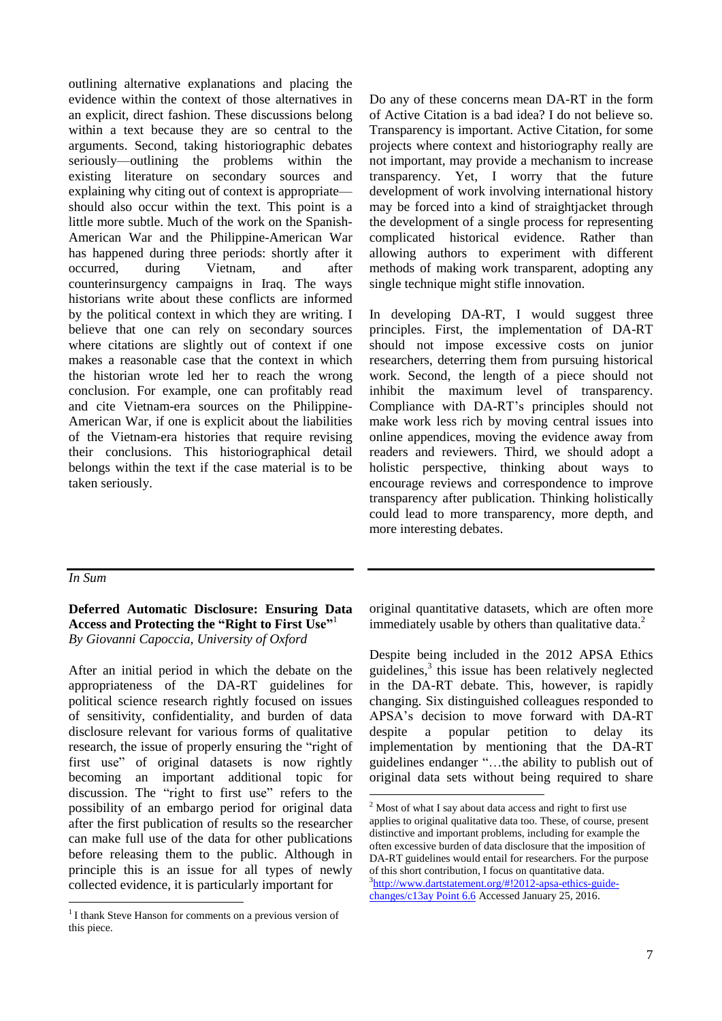outlining alternative explanations and placing the evidence within the context of those alternatives in an explicit, direct fashion. These discussions belong within a text because they are so central to the arguments. Second, taking historiographic debates seriously—outlining the problems within the existing literature on secondary sources and explaining why citing out of context is appropriate should also occur within the text. This point is a little more subtle. Much of the work on the Spanish-American War and the Philippine-American War has happened during three periods: shortly after it occurred, during Vietnam, and after counterinsurgency campaigns in Iraq. The ways historians write about these conflicts are informed by the political context in which they are writing. I believe that one can rely on secondary sources where citations are slightly out of context if one makes a reasonable case that the context in which the historian wrote led her to reach the wrong conclusion. For example, one can profitably read and cite Vietnam-era sources on the Philippine-American War, if one is explicit about the liabilities of the Vietnam-era histories that require revising their conclusions. This historiographical detail belongs within the text if the case material is to be taken seriously.

#### *In Sum*

1

**Deferred Automatic Disclosure: Ensuring Data Access and Protecting the "Right to First Use"**<sup>1</sup> *By Giovanni Capoccia, University of Oxford*

After an initial period in which the debate on the appropriateness of the DA-RT guidelines for political science research rightly focused on issues of sensitivity, confidentiality, and burden of data disclosure relevant for various forms of qualitative research, the issue of properly ensuring the "right of first use" of original datasets is now rightly becoming an important additional topic for discussion. The "right to first use" refers to the possibility of an embargo period for original data after the first publication of results so the researcher can make full use of the data for other publications before releasing them to the public. Although in principle this is an issue for all types of newly collected evidence, it is particularly important for

Do any of these concerns mean DA-RT in the form of Active Citation is a bad idea? I do not believe so. Transparency is important. Active Citation, for some projects where context and historiography really are not important, may provide a mechanism to increase transparency. Yet, I worry that the future development of work involving international history may be forced into a kind of straightjacket through the development of a single process for representing complicated historical evidence. Rather than allowing authors to experiment with different methods of making work transparent, adopting any single technique might stifle innovation.

In developing DA-RT, I would suggest three principles. First, the implementation of DA-RT should not impose excessive costs on junior researchers, deterring them from pursuing historical work. Second, the length of a piece should not inhibit the maximum level of transparency. Compliance with DA-RT's principles should not make work less rich by moving central issues into online appendices, moving the evidence away from readers and reviewers. Third, we should adopt a holistic perspective, thinking about ways to encourage reviews and correspondence to improve transparency after publication. Thinking holistically could lead to more transparency, more depth, and more interesting debates.

original quantitative datasets, which are often more immediately usable by others than qualitative data.<sup>2</sup>

Despite being included in the 2012 APSA Ethics guidelines,<sup>3</sup> this issue has been relatively neglected in the DA-RT debate. This, however, is rapidly changing. Six distinguished colleagues responded to APSA's decision to move forward with DA-RT despite a popular petition to delay its implementation by mentioning that the DA-RT guidelines endanger "…the ability to publish out of original data sets without being required to share

<sup>&</sup>lt;sup>1</sup> I thank Steve Hanson for comments on a previous version of this piece.

<sup>&</sup>lt;sup>2</sup> Most of what I say about data access and right to first use applies to original qualitative data too. These, of course, present distinctive and important problems, including for example the often excessive burden of data disclosure that the imposition of DA-RT guidelines would entail for researchers. For the purpose of this short contribution, I focus on quantitative data. 3 [http://www.dartstatement.org/#!2012-apsa-ethics-guide](http://www.dartstatement.org/#!2012-apsa-ethics-guide-changes/c13ay Point 6.6)[changes/c13ay Point 6.6](http://www.dartstatement.org/#!2012-apsa-ethics-guide-changes/c13ay Point 6.6) Accessed January 25, 2016.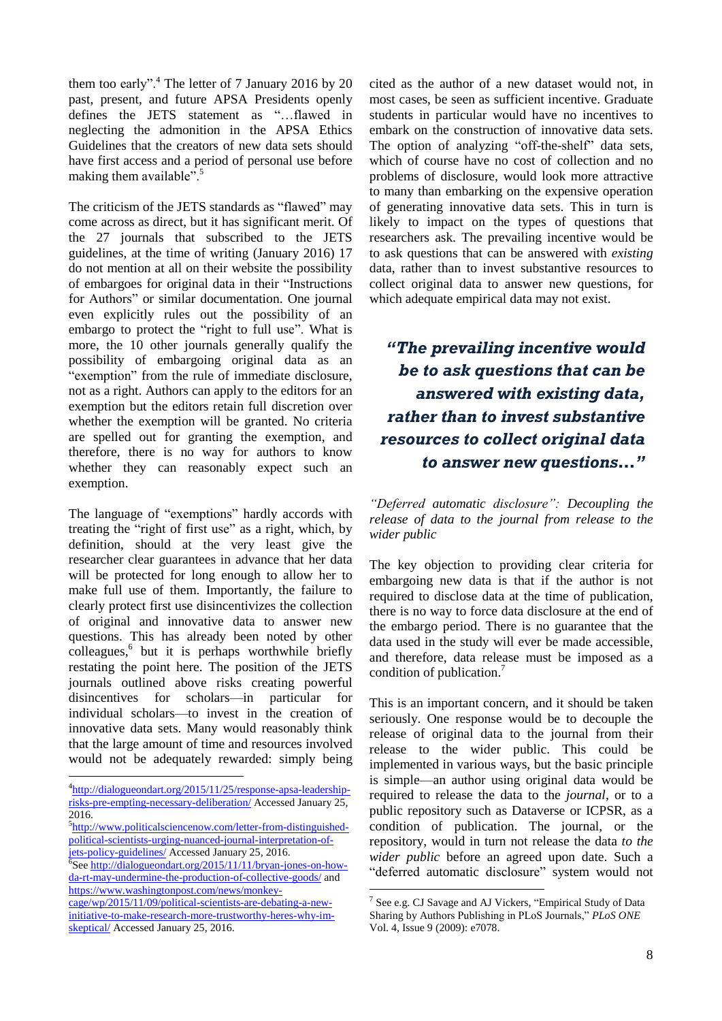them too early".<sup>4</sup> The letter of 7 January 2016 by 20 past, present, and future APSA Presidents openly defines the JETS statement as "…flawed in neglecting the admonition in the APSA Ethics Guidelines that the creators of new data sets should have first access and a period of personal use before making them available".<sup>5</sup>

The criticism of the JETS standards as "flawed" may come across as direct, but it has significant merit. Of the 27 journals that subscribed to the JETS guidelines, at the time of writing (January 2016) 17 do not mention at all on their website the possibility of embargoes for original data in their "Instructions for Authors" or similar documentation. One journal even explicitly rules out the possibility of an embargo to protect the "right to full use". What is more, the 10 other journals generally qualify the possibility of embargoing original data as an "exemption" from the rule of immediate disclosure, not as a right. Authors can apply to the editors for an exemption but the editors retain full discretion over whether the exemption will be granted. No criteria are spelled out for granting the exemption, and therefore, there is no way for authors to know whether they can reasonably expect such an exemption.

The language of "exemptions" hardly accords with treating the "right of first use" as a right, which, by definition, should at the very least give the researcher clear guarantees in advance that her data will be protected for long enough to allow her to make full use of them. Importantly, the failure to clearly protect first use disincentivizes the collection of original and innovative data to answer new questions. This has already been noted by other colleagues,<sup>6</sup> but it is perhaps worthwhile briefly restating the point here. The position of the JETS journals outlined above risks creating powerful disincentives for scholars—in particular for individual scholars—to invest in the creation of innovative data sets. Many would reasonably think that the large amount of time and resources involved would not be adequately rewarded: simply being

<u>.</u>

cited as the author of a new dataset would not, in most cases, be seen as sufficient incentive. Graduate students in particular would have no incentives to embark on the construction of innovative data sets. The option of analyzing "off-the-shelf" data sets, which of course have no cost of collection and no problems of disclosure, would look more attractive to many than embarking on the expensive operation of generating innovative data sets. This in turn is likely to impact on the types of questions that researchers ask. The prevailing incentive would be to ask questions that can be answered with *existing* data, rather than to invest substantive resources to collect original data to answer new questions, for which adequate empirical data may not exist.

## *"The prevailing incentive would be to ask questions that can be answered with existing data, rather than to invest substantive resources to collect original data to answer new questions…"*

*"Deferred automatic disclosure": Decoupling the release of data to the journal from release to the wider public*

The key objection to providing clear criteria for embargoing new data is that if the author is not required to disclose data at the time of publication, there is no way to force data disclosure at the end of the embargo period. There is no guarantee that the data used in the study will ever be made accessible, and therefore, data release must be imposed as a condition of publication. 7

This is an important concern, and it should be taken seriously. One response would be to decouple the release of original data to the journal from their release to the wider public. This could be implemented in various ways, but the basic principle is simple—an author using original data would be required to release the data to the *journal*, or to a public repository such as Dataverse or ICPSR, as a condition of publication. The journal, or the repository, would in turn not release the data *to the wider public* before an agreed upon date. Such a "deferred automatic disclosure" system would not

<sup>&</sup>lt;sup>4</sup>[http://dialogueondart.org/2015/11/25/response-apsa-leadership](http://dialogueondart.org/2015/11/25/response-apsa-leadership-risks-pre-empting-necessary-deliberation/)[risks-pre-empting-necessary-deliberation/](http://dialogueondart.org/2015/11/25/response-apsa-leadership-risks-pre-empting-necessary-deliberation/) Accessed January 25, 2016.

<sup>&</sup>lt;sup>5</sup>[http://www.politicalsciencenow.com/letter-from-distinguished](http://www.politicalsciencenow.com/letter-from-distinguished-political-scientists-urging-nuanced-journal-interpretation-of-jets-policy-guidelines/)[political-scientists-urging-nuanced-journal-interpretation-of](http://www.politicalsciencenow.com/letter-from-distinguished-political-scientists-urging-nuanced-journal-interpretation-of-jets-policy-guidelines/)[jets-policy-guidelines/](http://www.politicalsciencenow.com/letter-from-distinguished-political-scientists-urging-nuanced-journal-interpretation-of-jets-policy-guidelines/) Accessed January 25, 2016.

<sup>&</sup>lt;sup>6</sup>See [http://dialogueondart.org/2015/11/11/bryan-jones-on-how](http://dialogueondart.org/2015/11/11/bryan-jones-on-how-da-rt-may-undermine-the-production-of-collective-goods/)[da-rt-may-undermine-the-production-of-collective-goods/](http://dialogueondart.org/2015/11/11/bryan-jones-on-how-da-rt-may-undermine-the-production-of-collective-goods/) and [https://www.washingtonpost.com/news/monkey-](https://www.washingtonpost.com/news/monkey-cage/wp/2015/11/09/political-scientists-are-debating-a-new-initiative-to-make-research-more-trustworthy-heres-why-im-skeptical/)

[cage/wp/2015/11/09/political-scientists-are-debating-a-new](https://www.washingtonpost.com/news/monkey-cage/wp/2015/11/09/political-scientists-are-debating-a-new-initiative-to-make-research-more-trustworthy-heres-why-im-skeptical/)[initiative-to-make-research-more-trustworthy-heres-why-im](https://www.washingtonpost.com/news/monkey-cage/wp/2015/11/09/political-scientists-are-debating-a-new-initiative-to-make-research-more-trustworthy-heres-why-im-skeptical/)[skeptical/](https://www.washingtonpost.com/news/monkey-cage/wp/2015/11/09/political-scientists-are-debating-a-new-initiative-to-make-research-more-trustworthy-heres-why-im-skeptical/) Accessed January 25, 2016.

<sup>&</sup>lt;sup>7</sup> See e.g. CJ Savage and AJ Vickers, "Empirical Study of Data Sharing by Authors Publishing in PLoS Journals," *PLoS ONE* Vol. 4, Issue 9 (2009): e7078.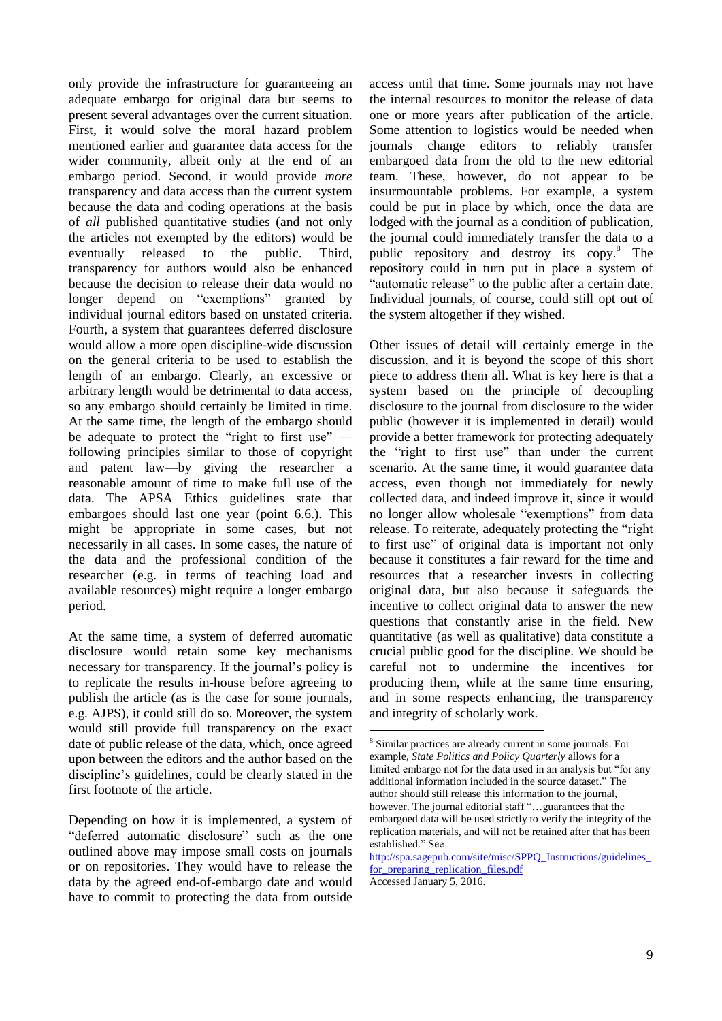only provide the infrastructure for guaranteeing an adequate embargo for original data but seems to present several advantages over the current situation. First, it would solve the moral hazard problem mentioned earlier and guarantee data access for the wider community, albeit only at the end of an embargo period. Second, it would provide *more* transparency and data access than the current system because the data and coding operations at the basis of *all* published quantitative studies (and not only the articles not exempted by the editors) would be eventually released to the public. Third, transparency for authors would also be enhanced because the decision to release their data would no longer depend on "exemptions" granted by individual journal editors based on unstated criteria. Fourth, a system that guarantees deferred disclosure would allow a more open discipline-wide discussion on the general criteria to be used to establish the length of an embargo. Clearly, an excessive or arbitrary length would be detrimental to data access, so any embargo should certainly be limited in time. At the same time, the length of the embargo should be adequate to protect the "right to first use" following principles similar to those of copyright and patent law—by giving the researcher a reasonable amount of time to make full use of the data. The APSA Ethics guidelines state that embargoes should last one year (point 6.6.). This might be appropriate in some cases, but not necessarily in all cases. In some cases, the nature of the data and the professional condition of the researcher (e.g. in terms of teaching load and available resources) might require a longer embargo period.

At the same time, a system of deferred automatic disclosure would retain some key mechanisms necessary for transparency. If the journal's policy is to replicate the results in-house before agreeing to publish the article (as is the case for some journals, e.g. AJPS), it could still do so. Moreover, the system would still provide full transparency on the exact date of public release of the data, which, once agreed upon between the editors and the author based on the discipline's guidelines, could be clearly stated in the first footnote of the article.

Depending on how it is implemented, a system of "deferred automatic disclosure" such as the one outlined above may impose small costs on journals or on repositories. They would have to release the data by the agreed end-of-embargo date and would have to commit to protecting the data from outside

access until that time. Some journals may not have the internal resources to monitor the release of data one or more years after publication of the article. Some attention to logistics would be needed when journals change editors to reliably transfer embargoed data from the old to the new editorial team. These, however, do not appear to be insurmountable problems. For example, a system could be put in place by which, once the data are lodged with the journal as a condition of publication, the journal could immediately transfer the data to a public repository and destroy its copy.<sup>8</sup> The repository could in turn put in place a system of "automatic release" to the public after a certain date. Individual journals, of course, could still opt out of the system altogether if they wished.

Other issues of detail will certainly emerge in the discussion, and it is beyond the scope of this short piece to address them all. What is key here is that a system based on the principle of decoupling disclosure to the journal from disclosure to the wider public (however it is implemented in detail) would provide a better framework for protecting adequately the "right to first use" than under the current scenario. At the same time, it would guarantee data access, even though not immediately for newly collected data, and indeed improve it, since it would no longer allow wholesale "exemptions" from data release. To reiterate, adequately protecting the "right to first use" of original data is important not only because it constitutes a fair reward for the time and resources that a researcher invests in collecting original data, but also because it safeguards the incentive to collect original data to answer the new questions that constantly arise in the field. New quantitative (as well as qualitative) data constitute a crucial public good for the discipline. We should be careful not to undermine the incentives for producing them, while at the same time ensuring, and in some respects enhancing, the transparency and integrity of scholarly work.

<sup>8</sup> Similar practices are already current in some journals. For example, *State Politics and Policy Quarterly* allows for a limited embargo not for the data used in an analysis but "for any additional information included in the source dataset." The author should still release this information to the journal, however. The journal editorial staff "... guarantees that the embargoed data will be used strictly to verify the integrity of the replication materials, and will not be retained after that has been established." See

[http://spa.sagepub.com/site/misc/SPPQ\\_Instructions/guidelines\\_](http://spa.sagepub.com/site/misc/SPPQ_Instructions/guidelines_for_preparing_replication_files.pdf) [for\\_preparing\\_replication\\_files.pdf](http://spa.sagepub.com/site/misc/SPPQ_Instructions/guidelines_for_preparing_replication_files.pdf) 

Accessed January 5, 2016.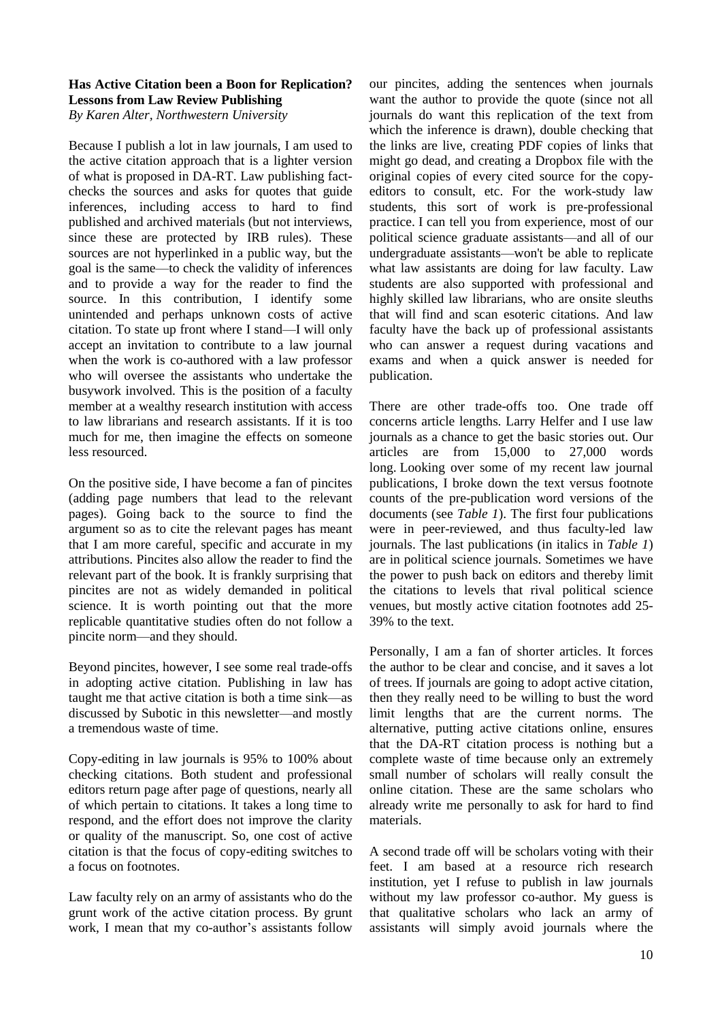### **Has Active Citation been a Boon for Replication? Lessons from Law Review Publishing**

*By Karen Alter, Northwestern University* 

Because I publish a lot in law journals, I am used to the active citation approach that is a lighter version of what is proposed in DA-RT. Law publishing factchecks the sources and asks for quotes that guide inferences, including access to hard to find published and archived materials (but not interviews, since these are protected by IRB rules). These sources are not hyperlinked in a public way, but the goal is the same—to check the validity of inferences and to provide a way for the reader to find the source. In this contribution, I identify some unintended and perhaps unknown costs of active citation. To state up front where I stand—I will only accept an invitation to contribute to a law journal when the work is co-authored with a law professor who will oversee the assistants who undertake the busywork involved. This is the position of a faculty member at a wealthy research institution with access to law librarians and research assistants. If it is too much for me, then imagine the effects on someone less resourced.

On the positive side, I have become a fan of pincites (adding page numbers that lead to the relevant pages). Going back to the source to find the argument so as to cite the relevant pages has meant that I am more careful, specific and accurate in my attributions. Pincites also allow the reader to find the relevant part of the book. It is frankly surprising that pincites are not as widely demanded in political science. It is worth pointing out that the more replicable quantitative studies often do not follow a pincite norm—and they should.

Beyond pincites, however, I see some real trade-offs in adopting active citation. Publishing in law has taught me that active citation is both a time sink—as discussed by Subotic in this newsletter—and mostly a tremendous waste of time.

Copy-editing in law journals is 95% to 100% about checking citations. Both student and professional editors return page after page of questions, nearly all of which pertain to citations. It takes a long time to respond, and the effort does not improve the clarity or quality of the manuscript. So, one cost of active citation is that the focus of copy-editing switches to a focus on footnotes.

Law faculty rely on an army of assistants who do the grunt work of the active citation process. By grunt work, I mean that my co-author's assistants follow

our pincites, adding the sentences when journals want the author to provide the quote (since not all journals do want this replication of the text from which the inference is drawn), double checking that the links are live, creating PDF copies of links that might go dead, and creating a Dropbox file with the original copies of every cited source for the copyeditors to consult, etc. For the work-study law students, this sort of work is pre-professional practice. I can tell you from experience, most of our political science graduate assistants—and all of our undergraduate assistants—won't be able to replicate what law assistants are doing for law faculty. Law students are also supported with professional and highly skilled law librarians, who are onsite sleuths that will find and scan esoteric citations. And law faculty have the back up of professional assistants who can answer a request during vacations and exams and when a quick answer is needed for publication.

There are other trade-offs too. One trade off concerns article lengths. Larry Helfer and I use law journals as a chance to get the basic stories out. Our articles are from 15,000 to 27,000 words long. Looking over some of my recent law journal publications, I broke down the text versus footnote counts of the pre-publication word versions of the documents (see *Table 1*). The first four publications were in peer-reviewed, and thus faculty-led law journals. The last publications (in italics in *Table 1*) are in political science journals. Sometimes we have the power to push back on editors and thereby limit the citations to levels that rival political science venues, but mostly active citation footnotes add 25- 39% to the text.

Personally, I am a fan of shorter articles. It forces the author to be clear and concise, and it saves a lot of trees. If journals are going to adopt active citation, then they really need to be willing to bust the word limit lengths that are the current norms. The alternative, putting active citations online, ensures that the DA-RT citation process is nothing but a complete waste of time because only an extremely small number of scholars will really consult the online citation. These are the same scholars who already write me personally to ask for hard to find materials.

A second trade off will be scholars voting with their feet. I am based at a resource rich research institution, yet I refuse to publish in law journals without my law professor co-author. My guess is that qualitative scholars who lack an army of assistants will simply avoid journals where the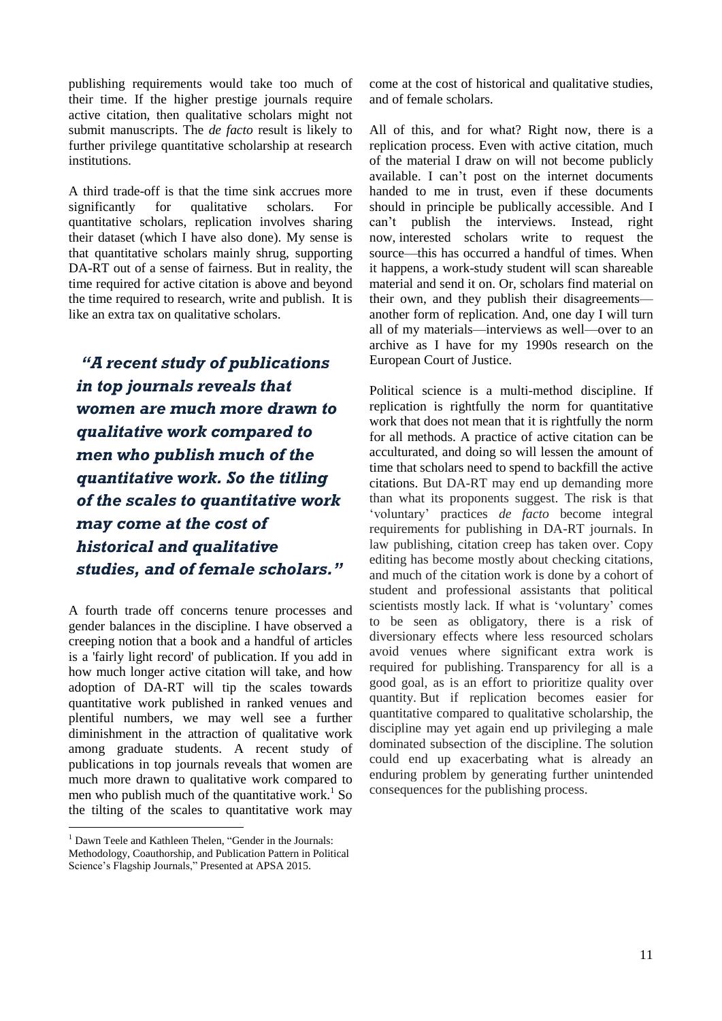publishing requirements would take too much of their time. If the higher prestige journals require active citation, then qualitative scholars might not submit manuscripts. The *de facto* result is likely to further privilege quantitative scholarship at research institutions.

A third trade-off is that the time sink accrues more significantly for qualitative scholars. For quantitative scholars, replication involves sharing their dataset (which I have also done). My sense is that quantitative scholars mainly shrug, supporting DA-RT out of a sense of fairness. But in reality, the time required for active citation is above and beyond the time required to research, write and publish. It is like an extra tax on qualitative scholars.

*"A recent study of publications in top journals reveals that women are much more drawn to qualitative work compared to men who publish much of the quantitative work. So the titling of the scales to quantitative work may come at the cost of historical and qualitative studies, and of female scholars."*

A fourth trade off concerns tenure processes and gender balances in the discipline. I have observed a creeping notion that a book and a handful of articles is a 'fairly light record' of publication. If you add in how much longer active citation will take, and how adoption of DA-RT will tip the scales towards quantitative work published in ranked venues and plentiful numbers, we may well see a further diminishment in the attraction of qualitative work among graduate students. A recent study of publications in top journals reveals that women are much more drawn to qualitative work compared to men who publish much of the quantitative work.<sup>1</sup> So the tilting of the scales to quantitative work may

<u>.</u>

come at the cost of historical and qualitative studies, and of female scholars.

All of this, and for what? Right now, there is a replication process. Even with active citation, much of the material I draw on will not become publicly available. I can't post on the internet documents handed to me in trust, even if these documents should in principle be publically accessible. And I can't publish the interviews. Instead, right now, interested scholars write to request the source—this has occurred a handful of times. When it happens, a work-study student will scan shareable material and send it on. Or, scholars find material on their own, and they publish their disagreements another form of replication. And, one day I will turn all of my materials—interviews as well—over to an archive as I have for my 1990s research on the European Court of Justice.

Political science is a multi-method discipline. If replication is rightfully the norm for quantitative work that does not mean that it is rightfully the norm for all methods. A practice of active citation can be acculturated, and doing so will lessen the amount of time that scholars need to spend to backfill the active citations. But DA-RT may end up demanding more than what its proponents suggest. The risk is that 'voluntary' practices *de facto* become integral requirements for publishing in DA-RT journals. In law publishing, citation creep has taken over. Copy editing has become mostly about checking citations, and much of the citation work is done by a cohort of student and professional assistants that political scientists mostly lack. If what is 'voluntary' comes to be seen as obligatory, there is a risk of diversionary effects where less resourced scholars avoid venues where significant extra work is required for publishing. Transparency for all is a good goal, as is an effort to prioritize quality over quantity. But if replication becomes easier for quantitative compared to qualitative scholarship, the discipline may yet again end up privileging a male dominated subsection of the discipline. The solution could end up exacerbating what is already an enduring problem by generating further unintended consequences for the publishing process.

<sup>&</sup>lt;sup>1</sup> Dawn Teele and Kathleen Thelen, "Gender in the Journals: Methodology, Coauthorship, and Publication Pattern in Political Science's Flagship Journals," Presented at APSA 2015*.*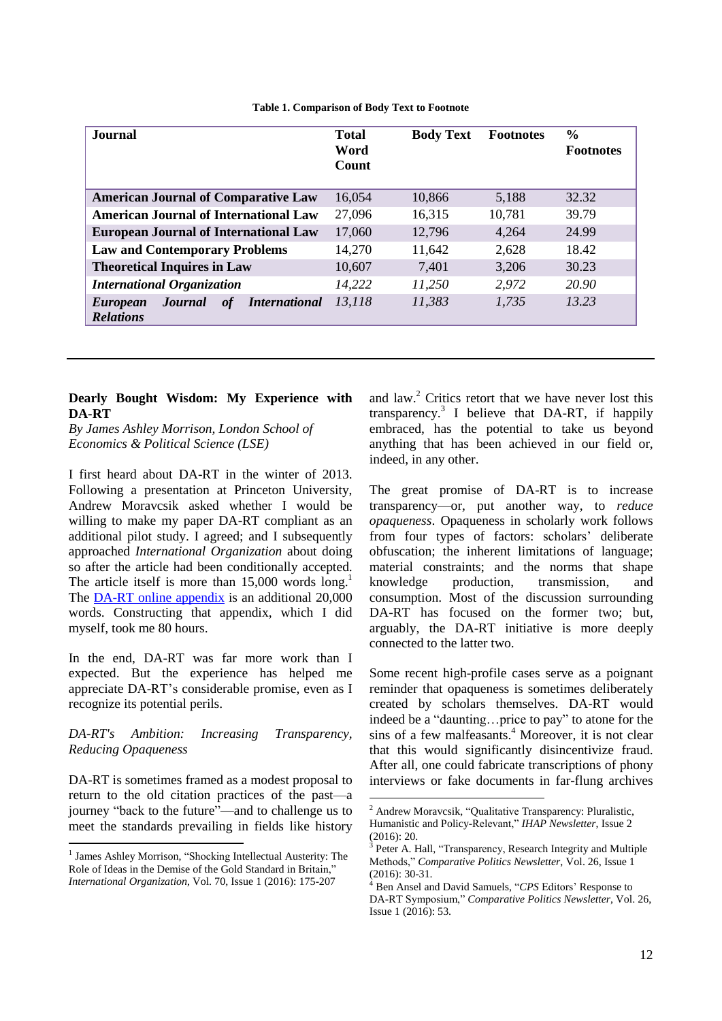| <b>Journal</b>                                                                      | <b>Total</b><br>Word<br>Count | <b>Body Text</b> | <b>Footnotes</b> | $\frac{0}{0}$<br><b>Footnotes</b> |
|-------------------------------------------------------------------------------------|-------------------------------|------------------|------------------|-----------------------------------|
| <b>American Journal of Comparative Law</b>                                          | 16,054                        | 10,866           | 5,188            | 32.32                             |
| <b>American Journal of International Law</b>                                        | 27,096                        | 16,315           | 10,781           | 39.79                             |
| <b>European Journal of International Law</b>                                        | 17,060                        | 12,796           | 4,264            | 24.99                             |
| <b>Law and Contemporary Problems</b>                                                | 14,270                        | 11,642           | 2,628            | 18.42                             |
| <b>Theoretical Inquires in Law</b>                                                  | 10,607                        | 7,401            | 3,206            | 30.23                             |
| <b>International Organization</b>                                                   | 14,222                        | 11,250           | 2,972            | 20.90                             |
| <b>Journal</b><br><i>International</i><br>оf<br><i>European</i><br><b>Relations</b> | 13,118                        | 11,383           | 1,735            | 13.23                             |

**Table 1. Comparison of Body Text to Footnote**

#### **Dearly Bought Wisdom: My Experience with DA-RT**

*By James Ashley Morrison, London School of Economics & Political Science (LSE)*

I first heard about DA-RT in the winter of 2013. Following a presentation at Princeton University, Andrew Moravcsik asked whether I would be willing to make my paper DA-RT compliant as an additional pilot study. I agreed; and I subsequently approached *International Organization* about doing so after the article had been conditionally accepted. The article itself is more than  $15,000$  words  $long<sup>1</sup>$ . The DA-RT online [appendix](http://journals.cambridge.org/action/displaySuppMaterial?cupCode=1&type=4&jid=INO&volumeId=70&issueId=01&aid=10119157) is an additional 20,000 words. Constructing that appendix, which I did myself, took me 80 hours.

In the end, DA-RT was far more work than I expected. But the experience has helped me appreciate DA-RT's considerable promise, even as I recognize its potential perils.

*DA-RT's Ambition: Increasing Transparency, Reducing Opaqueness*

DA-RT is sometimes framed as a modest proposal to return to the old citation practices of the past—a journey "back to the future"—and to challenge us to meet the standards prevailing in fields like history

<u>.</u>

and law.<sup>2</sup> Critics retort that we have never lost this transparency.<sup>3</sup> I believe that DA-RT, if happily embraced, has the potential to take us beyond anything that has been achieved in our field or, indeed, in any other.

The great promise of DA-RT is to increase transparency—or, put another way, to *reduce opaqueness*. Opaqueness in scholarly work follows from four types of factors: scholars' deliberate obfuscation; the inherent limitations of language; material constraints; and the norms that shape knowledge production, transmission, and consumption. Most of the discussion surrounding DA-RT has focused on the former two; but, arguably, the DA-RT initiative is more deeply connected to the latter two.

Some recent high-profile cases serve as a poignant reminder that opaqueness is sometimes deliberately created by scholars themselves. DA-RT would indeed be a "daunting…price to pay" to atone for the sins of a few malfeasants.<sup>4</sup> Moreover, it is not clear that this would significantly disincentivize fraud. After all, one could fabricate transcriptions of phony interviews or fake documents in far-flung archives

<sup>&</sup>lt;sup>1</sup> James Ashley Morrison, "Shocking Intellectual Austerity: The Role of Ideas in the Demise of the Gold Standard in Britain," *International Organization*, Vol. 70, Issue 1 (2016): 175-207

<sup>1</sup> <sup>2</sup> Andrew Moravcsik, "Qualitative Transparency: Pluralistic, Humanistic and Policy-Relevant," *IHAP Newsletter*, Issue 2 (2016): 20.

<sup>&</sup>lt;sup>3</sup> Peter A. Hall, "Transparency, Research Integrity and Multiple Methods," *Comparative Politics Newsletter*, Vol. 26, Issue 1 (2016): 30-31.

<sup>4</sup> Ben Ansel and David Samuels, "*CPS* Editors' Response to DA-RT Symposium," *Comparative Politics Newsletter*, Vol. 26, Issue 1 (2016): 53.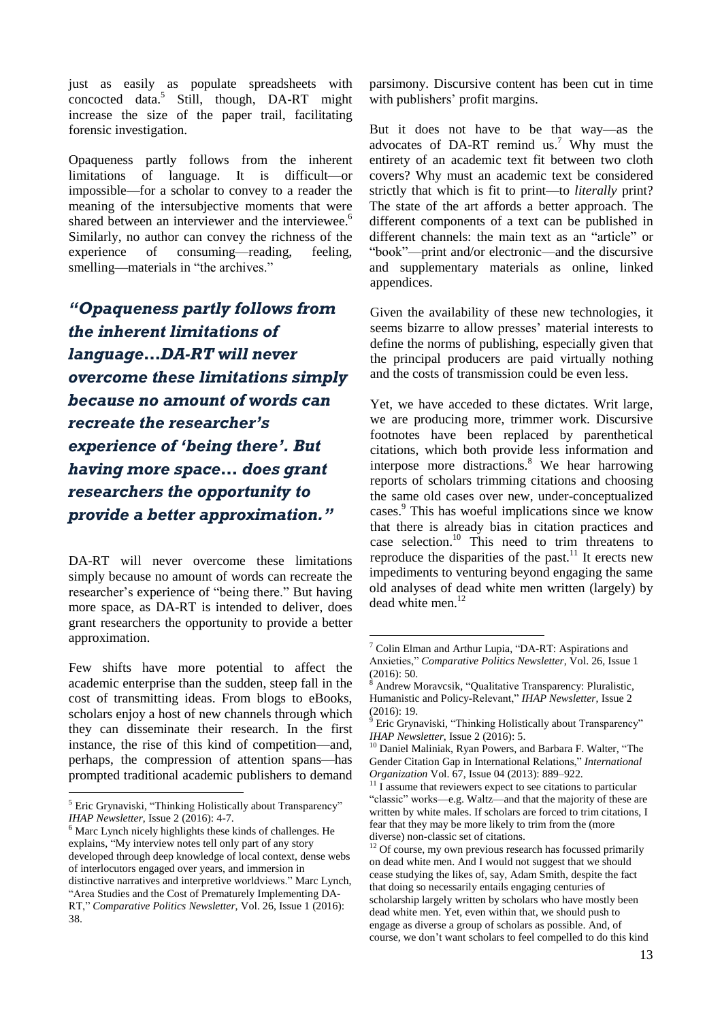just as easily as populate spreadsheets with concocted data.<sup>5</sup> Still, though, DA-RT might increase the size of the paper trail, facilitating forensic investigation.

Opaqueness partly follows from the inherent limitations of language. It is difficult—or impossible—for a scholar to convey to a reader the meaning of the intersubjective moments that were shared between an interviewer and the interviewee.<sup>6</sup> Similarly, no author can convey the richness of the experience of consuming—reading, feeling, smelling—materials in "the archives."

*"Opaqueness partly follows from the inherent limitations of language…DA-RT will never overcome these limitations simply because no amount of words can recreate the researcher's experience of 'being there'. But having more space… does grant researchers the opportunity to provide a better approximation."*

DA-RT will never overcome these limitations simply because no amount of words can recreate the researcher's experience of "being there." But having more space, as DA-RT is intended to deliver, does grant researchers the opportunity to provide a better approximation.

Few shifts have more potential to affect the academic enterprise than the sudden, steep fall in the cost of transmitting ideas. From blogs to eBooks, scholars enjoy a host of new channels through which they can disseminate their research. In the first instance, the rise of this kind of competition—and, perhaps, the compression of attention spans—has prompted traditional academic publishers to demand

1

parsimony. Discursive content has been cut in time with publishers' profit margins.

But it does not have to be that way—as the advocates of DA-RT remind us.<sup>7</sup> Why must the entirety of an academic text fit between two cloth covers? Why must an academic text be considered strictly that which is fit to print—to *literally* print? The state of the art affords a better approach. The different components of a text can be published in different channels: the main text as an "article" or "book"—print and/or electronic—and the discursive and supplementary materials as online, linked appendices.

Given the availability of these new technologies, it seems bizarre to allow presses' material interests to define the norms of publishing, especially given that the principal producers are paid virtually nothing and the costs of transmission could be even less.

Yet, we have acceded to these dictates. Writ large, we are producing more, trimmer work. Discursive footnotes have been replaced by parenthetical citations, which both provide less information and interpose more distractions.<sup>8</sup> We hear harrowing reports of scholars trimming citations and choosing the same old cases over new, under-conceptualized cases.<sup>9</sup> This has woeful implications since we know that there is already bias in citation practices and case selection.<sup>10</sup> This need to trim threatens to reproduce the disparities of the past.<sup>11</sup> It erects new impediments to venturing beyond engaging the same old analyses of dead white men written (largely) by dead white men.<sup>12</sup>

<sup>5</sup> Eric Grynaviski, "Thinking Holistically about Transparency" *IHAP Newsletter*, Issue 2 (2016): 4-7.

 $<sup>6</sup>$  Marc Lynch nicely highlights these kinds of challenges. He</sup> explains, "My interview notes tell only part of any story developed through deep knowledge of local context, dense webs of interlocutors engaged over years, and immersion in distinctive narratives and interpretive worldviews." Marc Lynch, "Area Studies and the Cost of Prematurely Implementing DA-RT," *Comparative Politics Newsletter*, Vol. 26, Issue 1 (2016): 38.

<sup>7</sup> Colin Elman and Arthur Lupia, "DA-RT: Aspirations and Anxieties," *Comparative Politics Newsletter*, Vol. 26, Issue 1  $(2016)$ : 50.

<sup>8</sup> Andrew Moravcsik, "Qualitative Transparency: Pluralistic, Humanistic and Policy-Relevant," *IHAP Newsletter*, Issue 2 (2016): 19.

<sup>9</sup> Eric Grynaviski, "Thinking Holistically about Transparency" *IHAP Newsletter*, Issue 2 (2016): 5.

<sup>&</sup>lt;sup>10</sup> Daniel Maliniak, Ryan Powers, and Barbara F. Walter, "The Gender Citation Gap in International Relations," *International Organization* Vol. 67, Issue 04 (2013): 889–922.

 $11$  I assume that reviewers expect to see citations to particular "classic" works—e.g. Waltz—and that the majority of these are written by white males. If scholars are forced to trim citations, I fear that they may be more likely to trim from the (more diverse) non-classic set of citations.

 $12$  Of course, my own previous research has focussed primarily on dead white men. And I would not suggest that we should cease studying the likes of, say, Adam Smith, despite the fact that doing so necessarily entails engaging centuries of scholarship largely written by scholars who have mostly been dead white men. Yet, even within that, we should push to engage as diverse a group of scholars as possible. And, of course, we don't want scholars to feel compelled to do this kind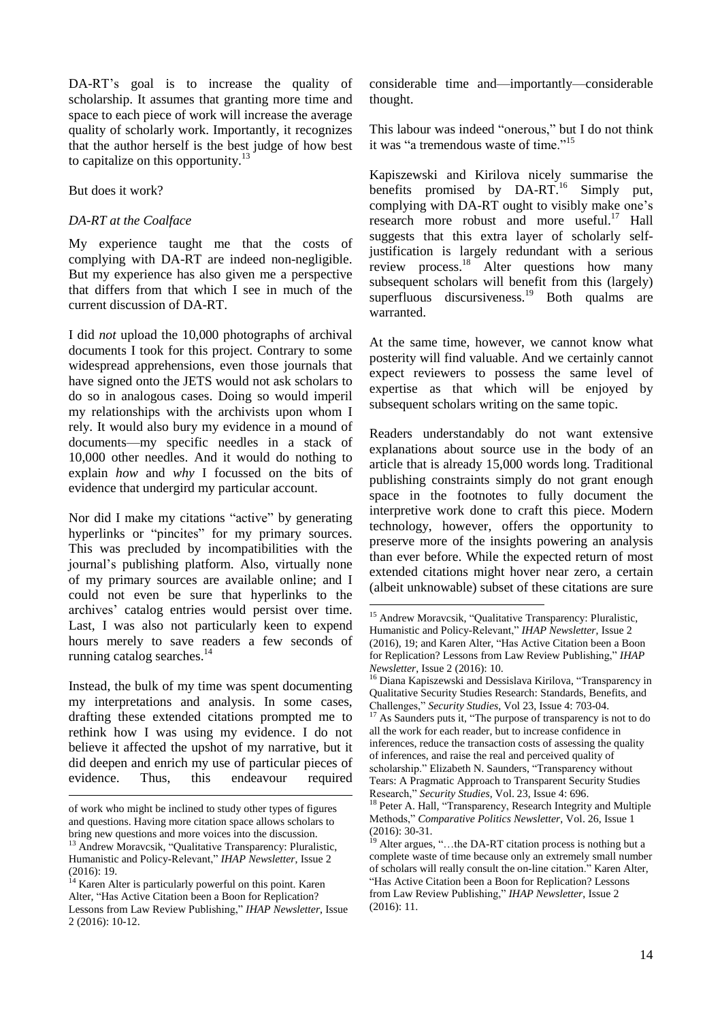DA-RT's goal is to increase the quality of scholarship. It assumes that granting more time and space to each piece of work will increase the average quality of scholarly work. Importantly, it recognizes that the author herself is the best judge of how best to capitalize on this opportunity.<sup>13</sup>

#### But does it work?

#### *DA-RT at the Coalface*

My experience taught me that the costs of complying with DA-RT are indeed non-negligible. But my experience has also given me a perspective that differs from that which I see in much of the current discussion of DA-RT.

I did *not* upload the 10,000 photographs of archival documents I took for this project. Contrary to some widespread apprehensions, even those journals that have signed onto the JETS would not ask scholars to do so in analogous cases. Doing so would imperil my relationships with the archivists upon whom I rely. It would also bury my evidence in a mound of documents—my specific needles in a stack of 10,000 other needles. And it would do nothing to explain *how* and *why* I focussed on the bits of evidence that undergird my particular account.

Nor did I make my citations "active" by generating hyperlinks or "pincites" for my primary sources. This was precluded by incompatibilities with the journal's publishing platform. Also, virtually none of my primary sources are available online; and I could not even be sure that hyperlinks to the archives' catalog entries would persist over time. Last, I was also not particularly keen to expend hours merely to save readers a few seconds of running catalog searches. $14$ 

Instead, the bulk of my time was spent documenting my interpretations and analysis. In some cases, drafting these extended citations prompted me to rethink how I was using my evidence. I do not believe it affected the upshot of my narrative, but it did deepen and enrich my use of particular pieces of evidence. Thus, this endeavour required

<u>.</u>

considerable time and—importantly—considerable thought.

This labour was indeed "onerous," but I do not think it was "a tremendous waste of time."<sup>15</sup>

Kapiszewski and Kirilova nicely summarise the benefits promised by DA-RT.<sup>16</sup> Simply put, complying with DA-RT ought to visibly make one's research more robust and more useful.<sup>17</sup> Hall suggests that this extra layer of scholarly selfjustification is largely redundant with a serious review process.<sup>18</sup> Alter questions how many subsequent scholars will benefit from this (largely) superfluous discursiveness.<sup>19</sup> Both qualms are warranted.

At the same time, however, we cannot know what posterity will find valuable. And we certainly cannot expect reviewers to possess the same level of expertise as that which will be enjoyed by subsequent scholars writing on the same topic.

Readers understandably do not want extensive explanations about source use in the body of an article that is already 15,000 words long. Traditional publishing constraints simply do not grant enough space in the footnotes to fully document the interpretive work done to craft this piece. Modern technology, however, offers the opportunity to preserve more of the insights powering an analysis than ever before. While the expected return of most extended citations might hover near zero, a certain (albeit unknowable) subset of these citations are sure

of work who might be inclined to study other types of figures and questions. Having more citation space allows scholars to bring new questions and more voices into the discussion.

<sup>&</sup>lt;sup>13</sup> Andrew Moravcsik, "Qualitative Transparency: Pluralistic, Humanistic and Policy-Relevant," *IHAP Newsletter*, Issue 2 (2016): 19.

 $14$  Karen Alter is particularly powerful on this point. Karen Alter, "Has Active Citation been a Boon for Replication? Lessons from Law Review Publishing," *IHAP Newsletter*, Issue 2 (2016): 10-12.

<sup>&</sup>lt;sup>15</sup> Andrew Moravcsik, "Qualitative Transparency: Pluralistic, Humanistic and Policy-Relevant," *IHAP Newsletter*, Issue 2 (2016), 19; and Karen Alter, "Has Active Citation been a Boon for Replication? Lessons from Law Review Publishing," *IHAP Newsletter*, Issue 2 (2016): 10.

<sup>16</sup> Diana Kapiszewski and Dessislava Kirilova, "Transparency in Qualitative Security Studies Research: Standards, Benefits, and Challenges," *Security Studies*, Vol 23, Issue 4: 703-04.

<sup>&</sup>lt;sup>17</sup> As Saunders puts it, "The purpose of transparency is not to do all the work for each reader, but to increase confidence in inferences, reduce the transaction costs of assessing the quality of inferences, and raise the real and perceived quality of scholarship." Elizabeth N. Saunders, "Transparency without Tears: A Pragmatic Approach to Transparent Security Studies Research," *Security Studies*, Vol. 23, Issue 4: 696.

<sup>&</sup>lt;sup>18</sup> Peter A. Hall, "Transparency, Research Integrity and Multiple Methods," *Comparative Politics Newsletter*, Vol. 26, Issue 1 (2016): 30-31.

 $19$  Alter argues, "...the DA-RT citation process is nothing but a complete waste of time because only an extremely small number of scholars will really consult the on-line citation." Karen Alter, "Has Active Citation been a Boon for Replication? Lessons from Law Review Publishing," *IHAP Newsletter*, Issue 2 (2016): 11.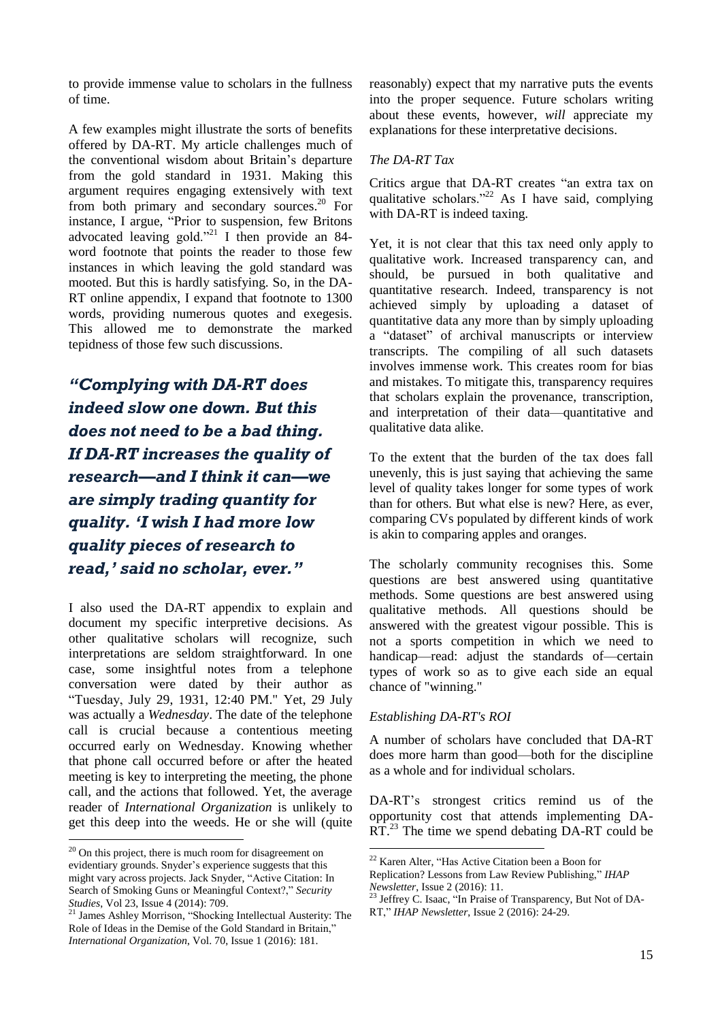to provide immense value to scholars in the fullness of time.

A few examples might illustrate the sorts of benefits offered by DA-RT. My article challenges much of the conventional wisdom about Britain's departure from the gold standard in 1931. Making this argument requires engaging extensively with text from both primary and secondary sources.<sup>20</sup> For instance, I argue, "Prior to suspension, few Britons advocated leaving gold."<sup>21</sup> I then provide an 84word footnote that points the reader to those few instances in which leaving the gold standard was mooted. But this is hardly satisfying. So, in the DA-RT online appendix, I expand that footnote to 1300 words, providing numerous quotes and exegesis. This allowed me to demonstrate the marked tepidness of those few such discussions.

*"Complying with DA-RT does indeed slow one down. But this does not need to be a bad thing. If DA-RT increases the quality of research—and I think it can—we are simply trading quantity for quality. 'I wish I had more low quality pieces of research to read,' said no scholar, ever."*

I also used the DA-RT appendix to explain and document my specific interpretive decisions. As other qualitative scholars will recognize, such interpretations are seldom straightforward. In one case, some insightful notes from a telephone conversation were dated by their author as "Tuesday, July 29, 1931, 12:40 PM." Yet, 29 July was actually a *Wednesday*. The date of the telephone call is crucial because a contentious meeting occurred early on Wednesday. Knowing whether that phone call occurred before or after the heated meeting is key to interpreting the meeting, the phone call, and the actions that followed. Yet, the average reader of *International Organization* is unlikely to get this deep into the weeds. He or she will (quite

<u>.</u>

reasonably) expect that my narrative puts the events into the proper sequence. Future scholars writing about these events, however, *will* appreciate my explanations for these interpretative decisions.

#### *The DA-RT Tax*

Critics argue that DA-RT creates "an extra tax on qualitative scholars. $22$  As I have said, complying with DA-RT is indeed taxing.

Yet, it is not clear that this tax need only apply to qualitative work. Increased transparency can, and should, be pursued in both qualitative and quantitative research. Indeed, transparency is not achieved simply by uploading a dataset of quantitative data any more than by simply uploading a "dataset" of archival manuscripts or interview transcripts. The compiling of all such datasets involves immense work. This creates room for bias and mistakes. To mitigate this, transparency requires that scholars explain the provenance, transcription, and interpretation of their data—quantitative and qualitative data alike.

To the extent that the burden of the tax does fall unevenly, this is just saying that achieving the same level of quality takes longer for some types of work than for others. But what else is new? Here, as ever, comparing CVs populated by different kinds of work is akin to comparing apples and oranges.

The scholarly community recognises this. Some questions are best answered using quantitative methods. Some questions are best answered using qualitative methods. All questions should be answered with the greatest vigour possible. This is not a sports competition in which we need to handicap—read: adjust the standards of—certain types of work so as to give each side an equal chance of "winning."

#### *Establishing DA-RT's ROI*

<u>.</u>

A number of scholars have concluded that DA-RT does more harm than good—both for the discipline as a whole and for individual scholars.

DA-RT's strongest critics remind us of the opportunity cost that attends implementing DA- $RT<sup>23</sup>$ . The time we spend debating DA-RT could be

 $20$  On this project, there is much room for disagreement on evidentiary grounds. Snyder's experience suggests that this might vary across projects. Jack Snyder, "Active Citation: In Search of Smoking Guns or Meaningful Context?," *Security Studies*, Vol 23, Issue 4 (2014): 709.

<sup>&</sup>lt;sup>21</sup> James Ashley Morrison, "Shocking Intellectual Austerity: The Role of Ideas in the Demise of the Gold Standard in Britain," *International Organization*, Vol. 70, Issue 1 (2016): 181.

<sup>22</sup> Karen Alter, "Has Active Citation been a Boon for Replication? Lessons from Law Review Publishing," *IHAP Newsletter*, Issue 2 (2016): 11.

<sup>23</sup> Jeffrey C. Isaac, "In Praise of Transparency, But Not of DA-RT," *IHAP Newsletter*, Issue 2 (2016): 24-29.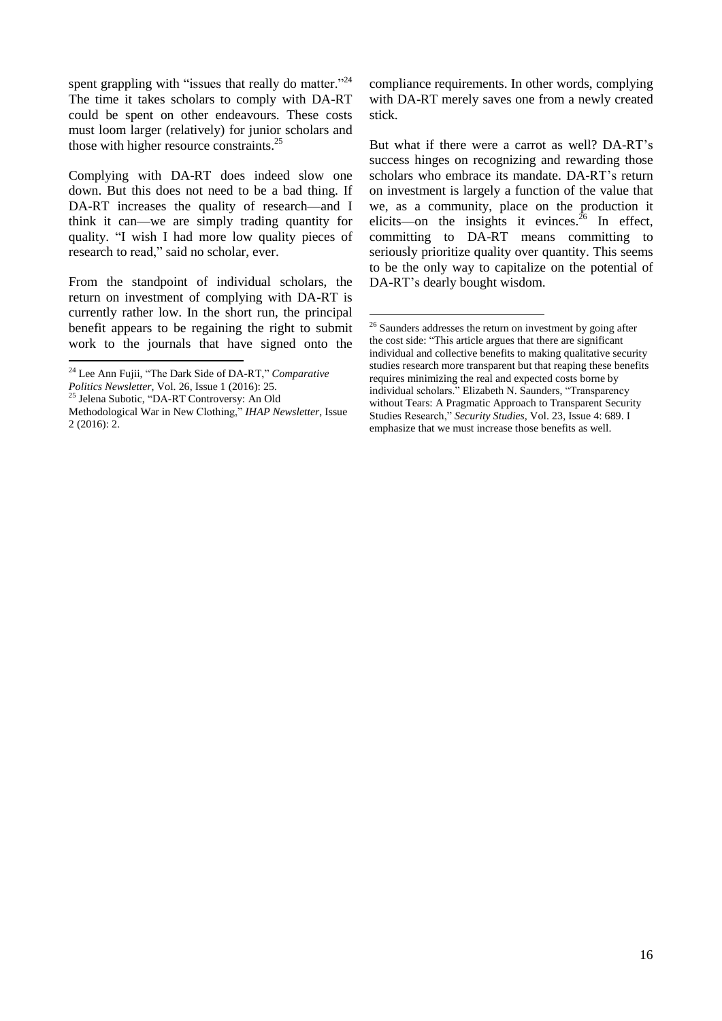spent grappling with "issues that really do matter."<sup>24</sup> The time it takes scholars to comply with DA-RT could be spent on other endeavours. These costs must loom larger (relatively) for junior scholars and those with higher resource constraints. $^{25}$ 

Complying with DA-RT does indeed slow one down. But this does not need to be a bad thing. If DA-RT increases the quality of research—and I think it can—we are simply trading quantity for quality. "I wish I had more low quality pieces of research to read," said no scholar, ever.

From the standpoint of individual scholars, the return on investment of complying with DA-RT is currently rather low. In the short run, the principal benefit appears to be regaining the right to submit work to the journals that have signed onto the

<sup>25</sup> Jelena Subotic, "DA-RT Controversy: An Old

1

compliance requirements. In other words, complying with DA-RT merely saves one from a newly created stick.

But what if there were a carrot as well? DA-RT's success hinges on recognizing and rewarding those scholars who embrace its mandate. DA-RT's return on investment is largely a function of the value that we, as a community, place on the production it elicits—on the insights it evinces.<sup>26</sup> In effect, committing to DA-RT means committing to seriously prioritize quality over quantity. This seems to be the only way to capitalize on the potential of DA-RT's dearly bought wisdom.

<sup>24</sup> Lee Ann Fujii, "The Dark Side of DA-RT," *Comparative Politics Newsletter*, Vol. 26, Issue 1 (2016): 25.

Methodological War in New Clothing," *IHAP Newsletter*, Issue 2 (2016): 2.

<sup>&</sup>lt;u>.</u> <sup>26</sup> Saunders addresses the return on investment by going after the cost side: "This article argues that there are significant individual and collective benefits to making qualitative security studies research more transparent but that reaping these benefits requires minimizing the real and expected costs borne by individual scholars." Elizabeth N. Saunders, "Transparency without Tears: A Pragmatic Approach to Transparent Security Studies Research," *Security Studies*, Vol. 23, Issue 4: 689. I emphasize that we must increase those benefits as well.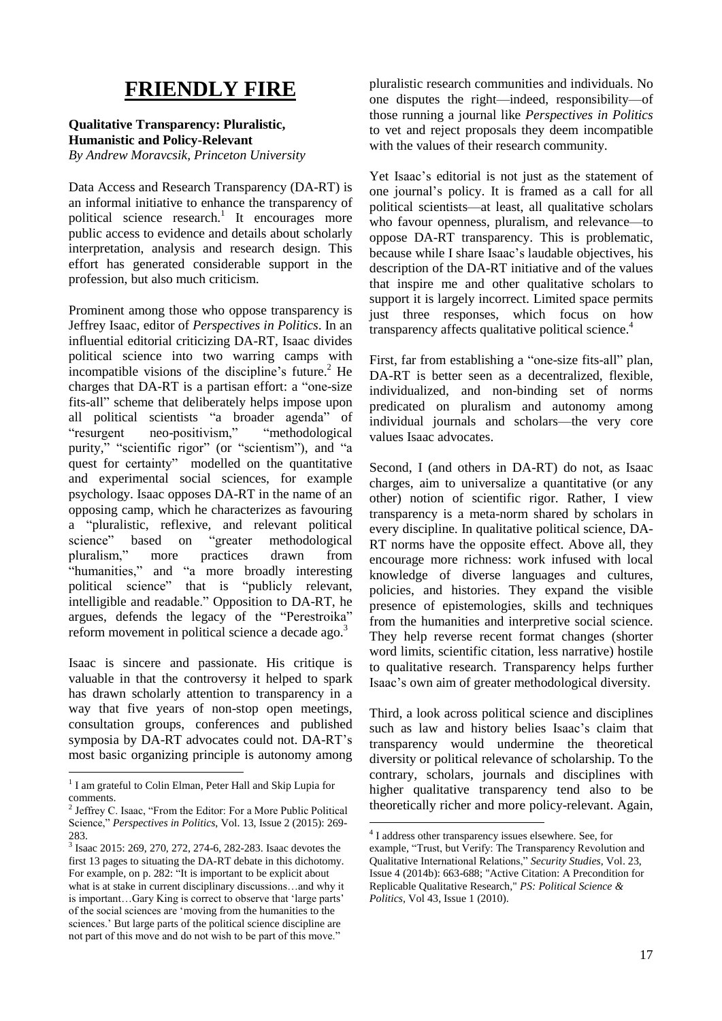## **FRIENDLY FIRE**

**Qualitative Transparency: Pluralistic, Humanistic and Policy-Relevant** *By Andrew Moravcsik, Princeton University*

Data Access and Research Transparency (DA-RT) is an informal initiative to enhance the transparency of political science research.<sup>1</sup> It encourages more public access to evidence and details about scholarly interpretation, analysis and research design. This effort has generated considerable support in the profession, but also much criticism.

Prominent among those who oppose transparency is Jeffrey Isaac, editor of *Perspectives in Politics*. In an influential editorial criticizing DA-RT, Isaac divides political science into two warring camps with incompatible visions of the discipline's future.<sup>2</sup> He charges that DA-RT is a partisan effort: a "one-size fits-all" scheme that deliberately helps impose upon all political scientists "a broader agenda" of "resurgent neo-positivism," "methodological purity," "scientific rigor" (or "scientism"), and "a quest for certainty" modelled on the quantitative and experimental social sciences, for example psychology. Isaac opposes DA-RT in the name of an opposing camp, which he characterizes as favouring a "pluralistic, reflexive, and relevant political science" based on "greater methodological pluralism," more practices drawn from "humanities," and "a more broadly interesting political science" that is "publicly relevant, intelligible and readable." Opposition to DA-RT, he argues, defends the legacy of the "Perestroika" reform movement in political science a decade ago.<sup>3</sup>

Isaac is sincere and passionate. His critique is valuable in that the controversy it helped to spark has drawn scholarly attention to transparency in a way that five years of non-stop open meetings, consultation groups, conferences and published symposia by DA-RT advocates could not. DA-RT's most basic organizing principle is autonomy among

1

pluralistic research communities and individuals. No one disputes the right—indeed, responsibility—of those running a journal like *Perspectives in Politics* to vet and reject proposals they deem incompatible with the values of their research community.

Yet Isaac's editorial is not just as the statement of one journal's policy. It is framed as a call for all political scientists—at least, all qualitative scholars who favour openness, pluralism, and relevance—to oppose DA-RT transparency. This is problematic, because while I share Isaac's laudable objectives, his description of the DA-RT initiative and of the values that inspire me and other qualitative scholars to support it is largely incorrect. Limited space permits just three responses, which focus on how transparency affects qualitative political science.<sup>4</sup>

First, far from establishing a "one-size fits-all" plan, DA-RT is better seen as a decentralized, flexible, individualized, and non-binding set of norms predicated on pluralism and autonomy among individual journals and scholars—the very core values Isaac advocates.

Second, I (and others in DA-RT) do not, as Isaac charges, aim to universalize a quantitative (or any other) notion of scientific rigor. Rather, I view transparency is a meta-norm shared by scholars in every discipline. In qualitative political science, DA-RT norms have the opposite effect. Above all, they encourage more richness: work infused with local knowledge of diverse languages and cultures, policies, and histories. They expand the visible presence of epistemologies, skills and techniques from the humanities and interpretive social science. They help reverse recent format changes (shorter word limits, scientific citation, less narrative) hostile to qualitative research. Transparency helps further Isaac's own aim of greater methodological diversity.

Third, a look across political science and disciplines such as law and history belies Isaac's claim that transparency would undermine the theoretical diversity or political relevance of scholarship. To the contrary, scholars, journals and disciplines with higher qualitative transparency tend also to be theoretically richer and more policy-relevant. Again,

<sup>&</sup>lt;sup>1</sup> I am grateful to Colin Elman, Peter Hall and Skip Lupia for comments.<br> $^{2}$  Leffrey C

Jeffrey C. Isaac, "From the Editor: For a More Public Political Science," *Perspectives in Politics*, Vol. 13, Issue 2 (2015): 269- 283.

<sup>3</sup> Isaac 2015: 269, 270, 272, 274-6, 282-283. Isaac devotes the first 13 pages to situating the DA-RT debate in this dichotomy. For example, on p. 282: "It is important to be explicit about what is at stake in current disciplinary discussions…and why it is important…Gary King is correct to observe that 'large parts' of the social sciences are 'moving from the humanities to the sciences.' But large parts of the political science discipline are not part of this move and do not wish to be part of this move."

<sup>4</sup> I address other transparency issues elsewhere. See, for example, "Trust, but Verify: The Transparency Revolution and Qualitative International Relations," *Security Studies*, Vol. 23, Issue 4 (2014b): 663-688; "Active Citation: A Precondition for Replicable Qualitative Research," *PS: Political Science & Politics*, Vol 43, Issue 1 (2010).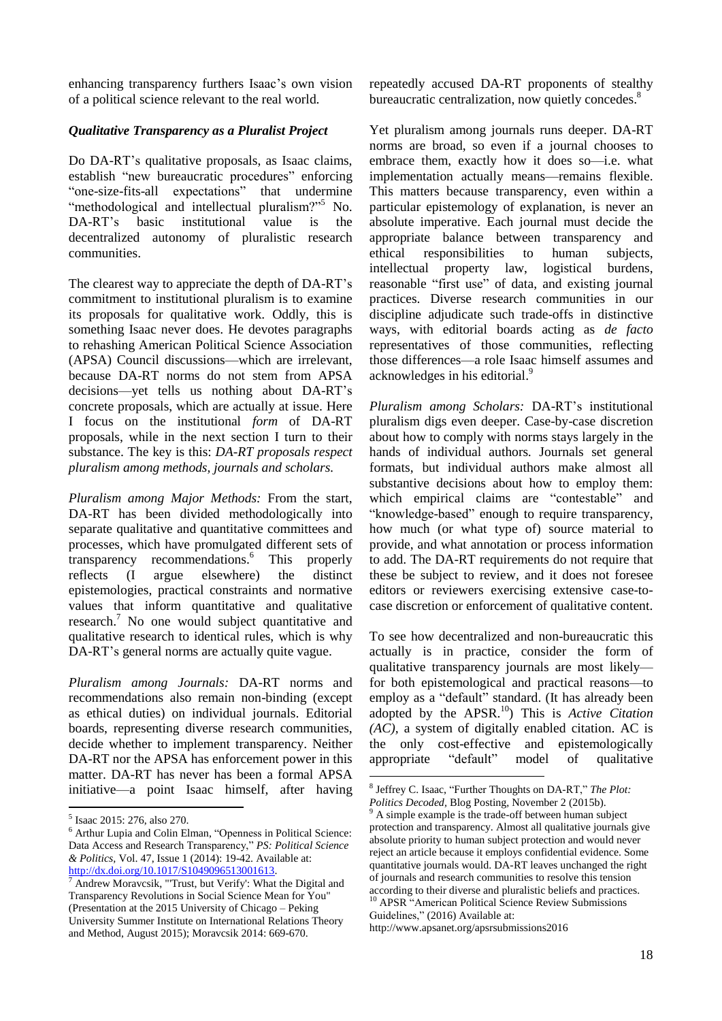enhancing transparency furthers Isaac's own vision of a political science relevant to the real world.

#### *Qualitative Transparency as a Pluralist Project*

Do DA-RT's qualitative proposals, as Isaac claims, establish "new bureaucratic procedures" enforcing "one-size-fits-all expectations" that undermine "methodological and intellectual pluralism?"<sup>5</sup> No. DA-RT's basic institutional value is the decentralized autonomy of pluralistic research communities.

The clearest way to appreciate the depth of DA-RT's commitment to institutional pluralism is to examine its proposals for qualitative work. Oddly, this is something Isaac never does. He devotes paragraphs to rehashing American Political Science Association (APSA) Council discussions—which are irrelevant, because DA-RT norms do not stem from APSA decisions—yet tells us nothing about DA-RT's concrete proposals, which are actually at issue. Here I focus on the institutional *form* of DA-RT proposals, while in the next section I turn to their substance. The key is this: *DA-RT proposals respect pluralism among methods, journals and scholars.*

*Pluralism among Major Methods:* From the start, DA-RT has been divided methodologically into separate qualitative and quantitative committees and processes, which have promulgated different sets of transparency recommendations.<sup>6</sup> This properly reflects (I argue elsewhere) the distinct epistemologies, practical constraints and normative values that inform quantitative and qualitative research.<sup>7</sup> No one would subject quantitative and qualitative research to identical rules, which is why DA-RT's general norms are actually quite vague.

*Pluralism among Journals:* DA-RT norms and recommendations also remain non-binding (except as ethical duties) on individual journals. Editorial boards, representing diverse research communities, decide whether to implement transparency. Neither DA-RT nor the APSA has enforcement power in this matter. DA-RT has never has been a formal APSA initiative—a point Isaac himself, after having

1

repeatedly accused DA-RT proponents of stealthy bureaucratic centralization, now quietly concedes.<sup>8</sup>

Yet pluralism among journals runs deeper. DA-RT norms are broad, so even if a journal chooses to embrace them, exactly how it does so—i.e. what implementation actually means—remains flexible. This matters because transparency, even within a particular epistemology of explanation, is never an absolute imperative. Each journal must decide the appropriate balance between transparency and ethical responsibilities to human subjects, intellectual property law, logistical burdens, reasonable "first use" of data, and existing journal practices. Diverse research communities in our discipline adjudicate such trade-offs in distinctive ways, with editorial boards acting as *de facto* representatives of those communities, reflecting those differences—a role Isaac himself assumes and acknowledges in his editorial.<sup>9</sup>

*Pluralism among Scholars:* DA-RT's institutional pluralism digs even deeper. Case-by-case discretion about how to comply with norms stays largely in the hands of individual authors*.* Journals set general formats, but individual authors make almost all substantive decisions about how to employ them: which empirical claims are "contestable" and "knowledge-based" enough to require transparency, how much (or what type of) source material to provide, and what annotation or process information to add. The DA-RT requirements do not require that these be subject to review, and it does not foresee editors or reviewers exercising extensive case-tocase discretion or enforcement of qualitative content.

To see how decentralized and non-bureaucratic this actually is in practice, consider the form of qualitative transparency journals are most likely for both epistemological and practical reasons—to employ as a "default" standard. (It has already been adopted by the APSR. <sup>10</sup>) This is *Active Citation (AC),* a system of digitally enabled citation. AC is the only cost-effective and epistemologically appropriate "default" model of qualitative

<http://www.apsanet.org/apsrsubmissions2016>

<sup>5</sup> Isaac 2015: 276, also 270.

<sup>6</sup> Arthur Lupia and Colin Elman, "Openness in Political Science: Data Access and Research Transparency," *PS: Political Science & Politics,* Vol. 47, Issue 1 (2014): 19-42. Available at: [http://dx.doi.org/10.1017/S1049096513001613.](http://dx.doi.org/10.1017/S1049096513001613) 

<sup>7</sup> Andrew Moravcsik, "'Trust, but Verify': What the Digital and Transparency Revolutions in Social Science Mean for You" (Presentation at the 2015 University of Chicago – Peking University Summer Institute on International Relations Theory and Method, August 2015); Moravcsik 2014: 669-670.

<sup>8</sup> Jeffrey C. Isaac, "Further Thoughts on DA-RT," *The Plot: Politics Decoded,* Blog Posting, November 2 (2015b).

<sup>&</sup>lt;sup>9</sup> A simple example is the trade-off between human subject protection and transparency. Almost all qualitative journals give absolute priority to human subject protection and would never reject an article because it employs confidential evidence. Some quantitative journals would. DA-RT leaves unchanged the right of journals and research communities to resolve this tension according to their diverse and pluralistic beliefs and practices. <sup>10</sup> APSR "American Political Science Review Submissions Guidelines," (2016) Available at: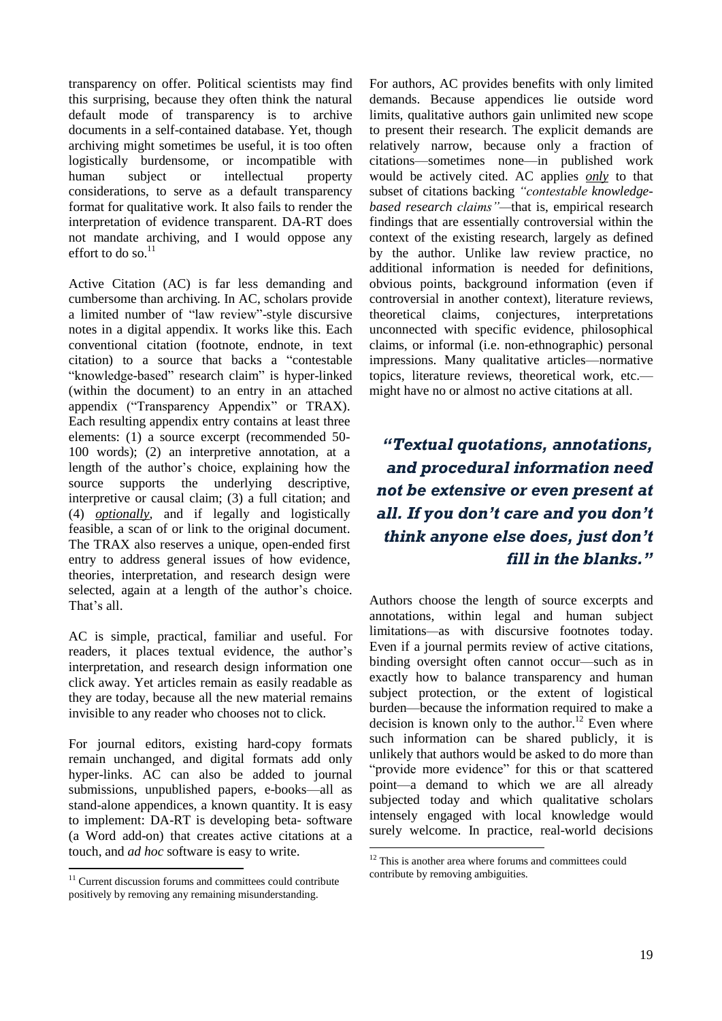transparency on offer. Political scientists may find this surprising, because they often think the natural default mode of transparency is to archive documents in a self-contained database. Yet, though archiving might sometimes be useful, it is too often logistically burdensome, or incompatible with human subject or intellectual property considerations, to serve as a default transparency format for qualitative work. It also fails to render the interpretation of evidence transparent. DA-RT does not mandate archiving, and I would oppose any effort to do so $^{11}$ 

Active Citation (AC) is far less demanding and cumbersome than archiving. In AC, scholars provide a limited number of "law review"-style discursive notes in a digital appendix. It works like this. Each conventional citation (footnote, endnote, in text citation) to a source that backs a "contestable "knowledge-based" research claim" is hyper-linked (within the document) to an entry in an attached appendix ("Transparency Appendix" or TRAX). Each resulting appendix entry contains at least three elements: (1) a source excerpt (recommended 50- 100 words); (2) an interpretive annotation*,* at a length of the author's choice, explaining how the source supports the underlying descriptive, interpretive or causal claim; (3) a full citation; and (4) *optionally,* and if legally and logistically feasible, a scan of or link to the original document. The TRAX also reserves a unique, open-ended first entry to address general issues of how evidence, theories, interpretation, and research design were selected, again at a length of the author's choice. That's all.

AC is simple, practical, familiar and useful. For readers, it places textual evidence, the author's interpretation, and research design information one click away. Yet articles remain as easily readable as they are today, because all the new material remains invisible to any reader who chooses not to click.

For journal editors, existing hard-copy formats remain unchanged, and digital formats add only hyper-links. AC can also be added to journal submissions, unpublished papers, e-books—all as stand-alone appendices, a known quantity. It is easy to implement: DA-RT is developing beta- software (a Word add-on) that creates active citations at a touch, and *ad hoc* software is easy to write.

1

For authors, AC provides benefits with only limited demands. Because appendices lie outside word limits, qualitative authors gain unlimited new scope to present their research. The explicit demands are relatively narrow, because only a fraction of citations—sometimes none—in published work would be actively cited. AC applies *only* to that subset of citations backing *"contestable knowledgebased research claims"—*that is, empirical research findings that are essentially controversial within the context of the existing research, largely as defined by the author. Unlike law review practice, no additional information is needed for definitions, obvious points, background information (even if controversial in another context), literature reviews, theoretical claims, conjectures, interpretations unconnected with specific evidence, philosophical claims, or informal (i.e. non-ethnographic) personal impressions. Many qualitative articles—normative topics, literature reviews, theoretical work, etc. might have no or almost no active citations at all.

*"Textual quotations, annotations, and procedural information need not be extensive or even present at all. If you don't care and you don't think anyone else does, just don't fill in the blanks."*

Authors choose the length of source excerpts and annotations, within legal and human subject limitations*—*as with discursive footnotes today. Even if a journal permits review of active citations, binding oversight often cannot occur—such as in exactly how to balance transparency and human subject protection, or the extent of logistical burden—because the information required to make a decision is known only to the author.<sup>12</sup> Even where such information can be shared publicly, it is unlikely that authors would be asked to do more than "provide more evidence" for this or that scattered point—a demand to which we are all already subjected today and which qualitative scholars intensely engaged with local knowledge would surely welcome. In practice, real-world decisions

<sup>&</sup>lt;sup>11</sup> Current discussion forums and committees could contribute positively by removing any remaining misunderstanding.

 $12$  This is another area where forums and committees could contribute by removing ambiguities.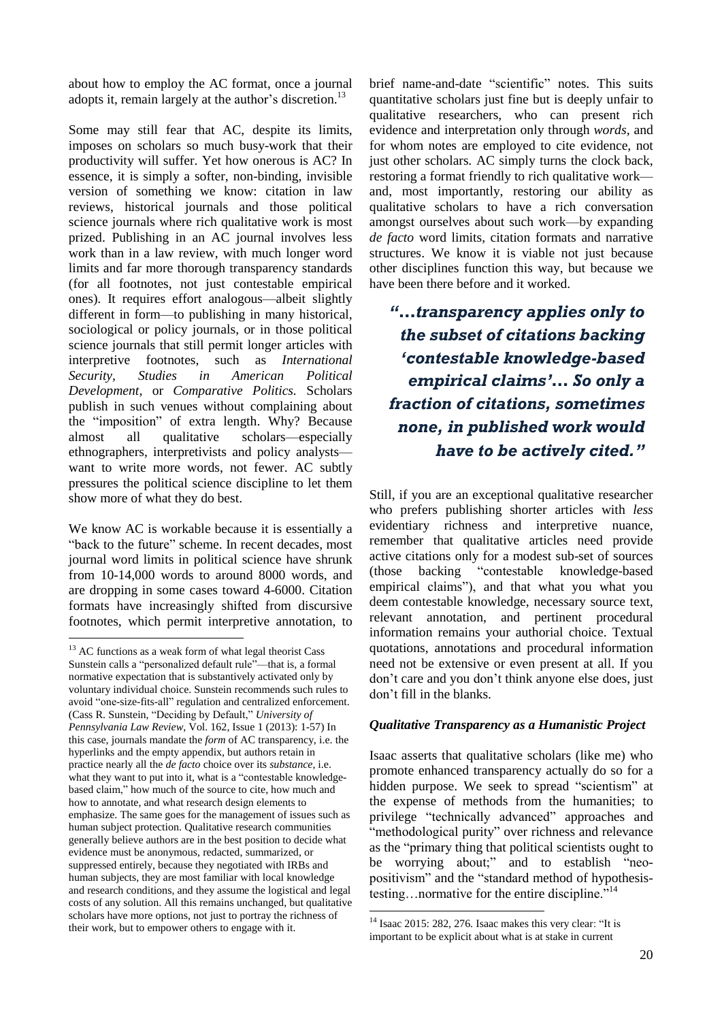about how to employ the AC format, once a journal adopts it, remain largely at the author's discretion.<sup>13</sup>

Some may still fear that AC, despite its limits, imposes on scholars so much busy-work that their productivity will suffer. Yet how onerous is AC? In essence, it is simply a softer, non-binding, invisible version of something we know: citation in law reviews, historical journals and those political science journals where rich qualitative work is most prized. Publishing in an AC journal involves less work than in a law review, with much longer word limits and far more thorough transparency standards (for all footnotes, not just contestable empirical ones). It requires effort analogous—albeit slightly different in form—to publishing in many historical, sociological or policy journals, or in those political science journals that still permit longer articles with interpretive footnotes, such as *International Security, Studies in American Political Development,* or *Comparative Politics.* Scholars publish in such venues without complaining about the "imposition" of extra length. Why? Because almost all qualitative scholars—especially ethnographers, interpretivists and policy analysts want to write more words, not fewer. AC subtly pressures the political science discipline to let them show more of what they do best.

We know AC is workable because it is essentially a "back to the future" scheme. In recent decades, most journal word limits in political science have shrunk from 10-14,000 words to around 8000 words, and are dropping in some cases toward 4-6000. Citation formats have increasingly shifted from discursive footnotes, which permit interpretive annotation, to

<u>.</u>

brief name-and-date "scientific" notes. This suits quantitative scholars just fine but is deeply unfair to qualitative researchers, who can present rich evidence and interpretation only through *words,* and for whom notes are employed to cite evidence, not just other scholars*.* AC simply turns the clock back, restoring a format friendly to rich qualitative work and, most importantly, restoring our ability as qualitative scholars to have a rich conversation amongst ourselves about such work—by expanding *de facto* word limits, citation formats and narrative structures. We know it is viable not just because other disciplines function this way, but because we have been there before and it worked.

*"…transparency applies only to the subset of citations backing 'contestable knowledge-based empirical claims'… So only a fraction of citations, sometimes none, in published work would have to be actively cited."*

Still, if you are an exceptional qualitative researcher who prefers publishing shorter articles with *less* evidentiary richness and interpretive nuance, remember that qualitative articles need provide active citations only for a modest sub-set of sources (those backing "contestable knowledge-based empirical claims"), and that what you what you deem contestable knowledge, necessary source text, relevant annotation, and pertinent procedural information remains your authorial choice. Textual quotations, annotations and procedural information need not be extensive or even present at all. If you don't care and you don't think anyone else does, just don't fill in the blanks.

#### *Qualitative Transparency as a Humanistic Project*

Isaac asserts that qualitative scholars (like me) who promote enhanced transparency actually do so for a hidden purpose. We seek to spread "scientism" at the expense of methods from the humanities; to privilege "technically advanced" approaches and "methodological purity" over richness and relevance as the "primary thing that political scientists ought to be worrying about;" and to establish "neopositivism" and the "standard method of hypothesistesting...normative for the entire discipline."<sup>14</sup>

<sup>&</sup>lt;sup>13</sup> AC functions as a weak form of what legal theorist Cass Sunstein calls a "personalized default rule"—that is, a formal normative expectation that is substantively activated only by voluntary individual choice. Sunstein recommends such rules to avoid "one-size-fits-all" regulation and centralized enforcement. (Cass R. Sunstein, "Deciding by Default," *University of Pennsylvania Law Review*, Vol. 162, Issue 1 (2013): 1-57) In this case, journals mandate the *form* of AC transparency, i.e. the hyperlinks and the empty appendix, but authors retain in practice nearly all the *de facto* choice over its *substance*, i.e. what they want to put into it, what is a "contestable knowledgebased claim," how much of the source to cite, how much and how to annotate, and what research design elements to emphasize. The same goes for the management of issues such as human subject protection. Qualitative research communities generally believe authors are in the best position to decide what evidence must be anonymous, redacted, summarized, or suppressed entirely, because they negotiated with IRBs and human subjects, they are most familiar with local knowledge and research conditions, and they assume the logistical and legal costs of any solution. All this remains unchanged, but qualitative scholars have more options, not just to portray the richness of their work, but to empower others to engage with it.

 $14$  Isaac 2015: 282, 276. Isaac makes this very clear: "It is important to be explicit about what is at stake in current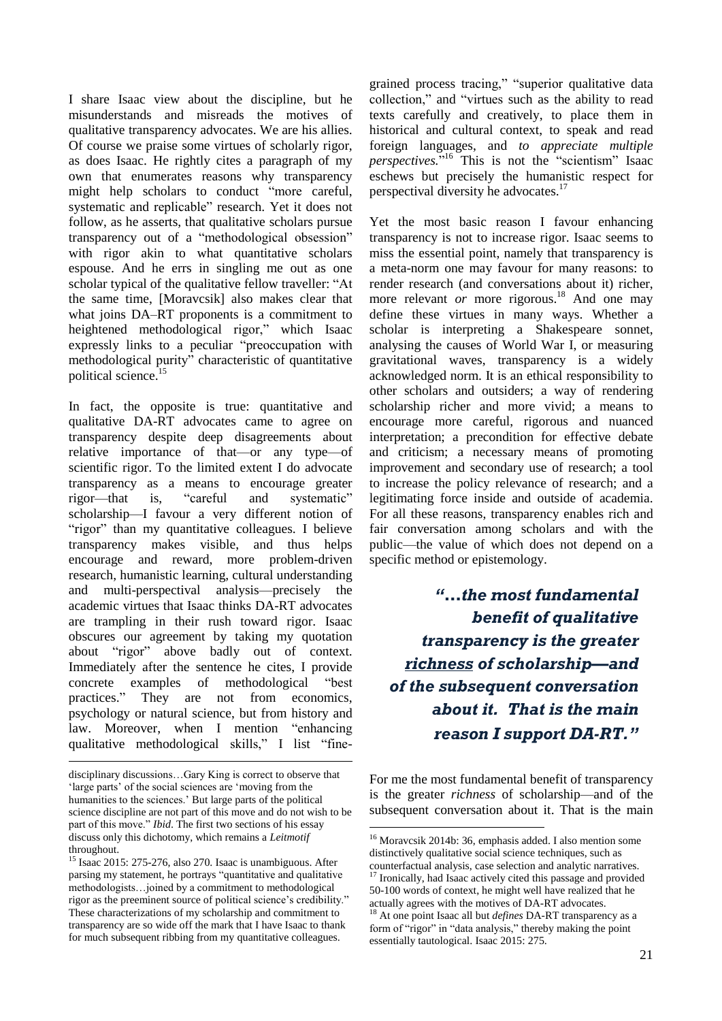I share Isaac view about the discipline, but he misunderstands and misreads the motives of qualitative transparency advocates. We are his allies. Of course we praise some virtues of scholarly rigor, as does Isaac. He rightly cites a paragraph of my own that enumerates reasons why transparency might help scholars to conduct "more careful, systematic and replicable" research. Yet it does not follow, as he asserts, that qualitative scholars pursue transparency out of a "methodological obsession" with rigor akin to what quantitative scholars espouse. And he errs in singling me out as one scholar typical of the qualitative fellow traveller: "At the same time, [Moravcsik] also makes clear that what joins DA–RT proponents is a commitment to heightened methodological rigor," which Isaac expressly links to a peculiar "preoccupation with methodological purity" characteristic of quantitative political science.<sup>15</sup>

In fact, the opposite is true: quantitative and qualitative DA-RT advocates came to agree on transparency despite deep disagreements about relative importance of that—or any type—of scientific rigor. To the limited extent I do advocate transparency as a means to encourage greater rigor—that is, "careful and systematic" scholarship—I favour a very different notion of "rigor" than my quantitative colleagues. I believe transparency makes visible, and thus helps encourage and reward, more problem-driven research, humanistic learning, cultural understanding and multi-perspectival analysis—precisely the academic virtues that Isaac thinks DA-RT advocates are trampling in their rush toward rigor. Isaac obscures our agreement by taking my quotation about "rigor" above badly out of context. Immediately after the sentence he cites, I provide concrete examples of methodological "best practices." They are not from economics, psychology or natural science, but from history and law. Moreover, when I mention "enhancing qualitative methodological skills," I list "fine-

<u>.</u>

grained process tracing," "superior qualitative data collection," and "virtues such as the ability to read texts carefully and creatively, to place them in historical and cultural context, to speak and read foreign languages, and *to appreciate multiple perspectives.*" <sup>16</sup> This is not the "scientism" Isaac eschews but precisely the humanistic respect for perspectival diversity he advocates.<sup>17</sup>

Yet the most basic reason I favour enhancing transparency is not to increase rigor. Isaac seems to miss the essential point, namely that transparency is a meta-norm one may favour for many reasons: to render research (and conversations about it) richer, more relevant *or* more rigorous. <sup>18</sup> And one may define these virtues in many ways. Whether a scholar is interpreting a Shakespeare sonnet, analysing the causes of World War I, or measuring gravitational waves, transparency is a widely acknowledged norm. It is an ethical responsibility to other scholars and outsiders; a way of rendering scholarship richer and more vivid; a means to encourage more careful, rigorous and nuanced interpretation; a precondition for effective debate and criticism; a necessary means of promoting improvement and secondary use of research; a tool to increase the policy relevance of research; and a legitimating force inside and outside of academia. For all these reasons, transparency enables rich and fair conversation among scholars and with the public—the value of which does not depend on a specific method or epistemology.

*"…the most fundamental benefit of qualitative transparency is the greater richness of scholarship—and of the subsequent conversation about it. That is the main reason I support DA-RT."*

For me the most fundamental benefit of transparency is the greater *richness* of scholarship—and of the subsequent conversation about it. That is the main

disciplinary discussions…Gary King is correct to observe that 'large parts' of the social sciences are 'moving from the humanities to the sciences.' But large parts of the political science discipline are not part of this move and do not wish to be part of this move." *Ibid*. The first two sections of his essay discuss only this dichotomy, which remains a *Leitmotif* throughout.

<sup>&</sup>lt;sup>15</sup> Isaac 2015: 275-276, also 270. Isaac is unambiguous. After parsing my statement, he portrays "quantitative and qualitative methodologists…joined by a commitment to methodological rigor as the preeminent source of political science's credibility." These characterizations of my scholarship and commitment to transparency are so wide off the mark that I have Isaac to thank for much subsequent ribbing from my quantitative colleagues.

<sup>16</sup> Moravcsik 2014b: 36, emphasis added. I also mention some distinctively qualitative social science techniques, such as counterfactual analysis, case selection and analytic narratives. <sup>17</sup> Ironically, had Isaac actively cited this passage and provided 50-100 words of context, he might well have realized that he actually agrees with the motives of DA-RT advocates.

<sup>18</sup> At one point Isaac all but *defines* DA-RT transparency as a form of "rigor" in "data analysis," thereby making the point essentially tautological. Isaac 2015: 275.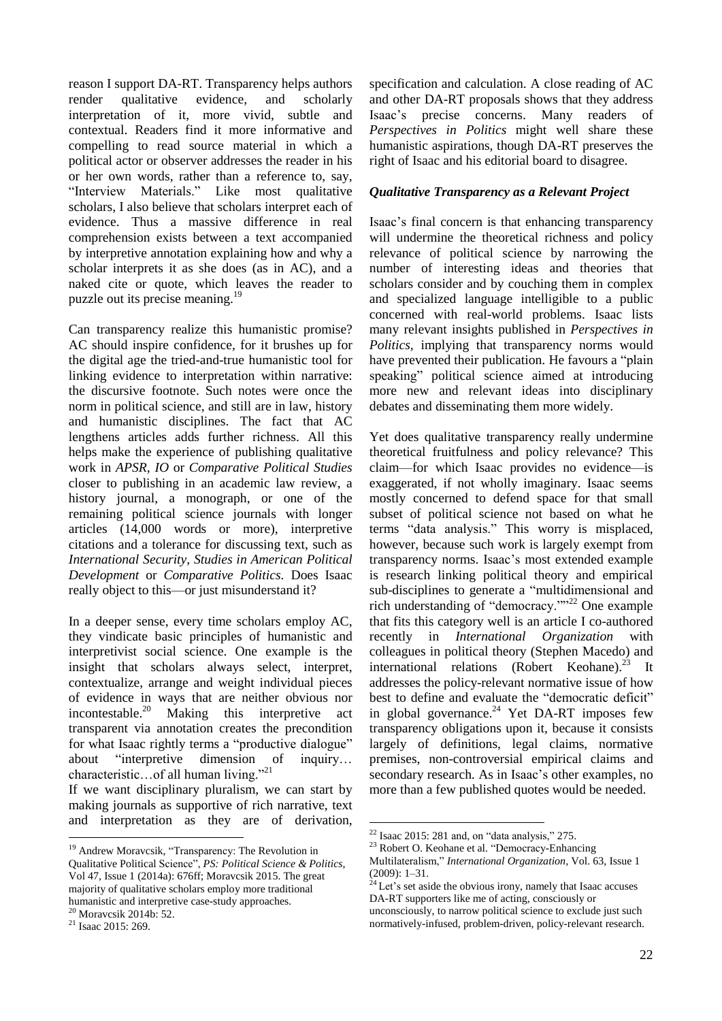reason I support DA-RT. Transparency helps authors render qualitative evidence, and scholarly interpretation of it, more vivid, subtle and contextual. Readers find it more informative and compelling to read source material in which a political actor or observer addresses the reader in his or her own words, rather than a reference to, say, "Interview Materials." Like most qualitative scholars, I also believe that scholars interpret each of evidence. Thus a massive difference in real comprehension exists between a text accompanied by interpretive annotation explaining how and why a scholar interprets it as she does (as in AC), and a naked cite or quote, which leaves the reader to puzzle out its precise meaning.<sup>19</sup>

Can transparency realize this humanistic promise? AC should inspire confidence, for it brushes up for the digital age the tried-and-true humanistic tool for linking evidence to interpretation within narrative: the discursive footnote. Such notes were once the norm in political science, and still are in law, history and humanistic disciplines. The fact that AC lengthens articles adds further richness. All this helps make the experience of publishing qualitative work in *APSR, IO* or *Comparative Political Studies* closer to publishing in an academic law review, a history journal, a monograph, or one of the remaining political science journals with longer articles (14,000 words or more), interpretive citations and a tolerance for discussing text, such as *International Security, Studies in American Political Development* or *Comparative Politics.* Does Isaac really object to this—or just misunderstand it?

In a deeper sense, every time scholars employ AC, they vindicate basic principles of humanistic and interpretivist social science. One example is the insight that scholars always select, interpret, contextualize, arrange and weight individual pieces of evidence in ways that are neither obvious nor incontestable.<sup>20</sup> Making this interpretive act transparent via annotation creates the precondition for what Isaac rightly terms a "productive dialogue" about "interpretive dimension of inquiry… characteristic…of all human living."<sup>21</sup>

If we want disciplinary pluralism, we can start by making journals as supportive of rich narrative, text and interpretation as they are of derivation,

1

specification and calculation. A close reading of AC and other DA-RT proposals shows that they address Isaac's precise concerns. Many readers of *Perspectives in Politics* might well share these humanistic aspirations, though DA-RT preserves the right of Isaac and his editorial board to disagree.

#### *Qualitative Transparency as a Relevant Project*

Isaac's final concern is that enhancing transparency will undermine the theoretical richness and policy relevance of political science by narrowing the number of interesting ideas and theories that scholars consider and by couching them in complex and specialized language intelligible to a public concerned with real-world problems. Isaac lists many relevant insights published in *Perspectives in Politics,* implying that transparency norms would have prevented their publication. He favours a "plain speaking" political science aimed at introducing more new and relevant ideas into disciplinary debates and disseminating them more widely.

Yet does qualitative transparency really undermine theoretical fruitfulness and policy relevance? This claim—for which Isaac provides no evidence—is exaggerated, if not wholly imaginary. Isaac seems mostly concerned to defend space for that small subset of political science not based on what he terms "data analysis." This worry is misplaced, however, because such work is largely exempt from transparency norms. Isaac's most extended example is research linking political theory and empirical sub-disciplines to generate a "multidimensional and rich understanding of "democracy.""<sup>22</sup> One example that fits this category well is an article I co-authored recently in *International Organization* with colleagues in political theory (Stephen Macedo) and international relations (Robert Keohane). <sup>23</sup> It addresses the policy-relevant normative issue of how best to define and evaluate the "democratic deficit" in global governance. $^{24}$  Yet DA-RT imposes few transparency obligations upon it, because it consists largely of definitions, legal claims, normative premises, non-controversial empirical claims and secondary research*.* As in Isaac's other examples, no more than a few published quotes would be needed.

<sup>19</sup> Andrew Moravcsik, "Transparency: The Revolution in Qualitative Political Science", *PS: Political Science & Politics*, Vol 47, Issue 1 (2014a): 676ff; Moravcsik 2015. The great majority of qualitative scholars employ more traditional humanistic and interpretive case-study approaches.

<sup>20</sup> Moravcsik 2014b: 52.

 $21$  Isaac 2015: 269.

 $22$  Isaac 2015: 281 and, on "data analysis," 275.

<sup>23</sup> Robert O. Keohane et al. "Democracy-Enhancing

Multilateralism," *International Organization*, Vol. 63, Issue 1  $(2009): 1-31.$ 

Let's set aside the obvious irony, namely that Isaac accuses DA-RT supporters like me of acting, consciously or

unconsciously, to narrow political science to exclude just such normatively-infused, problem-driven, policy-relevant research.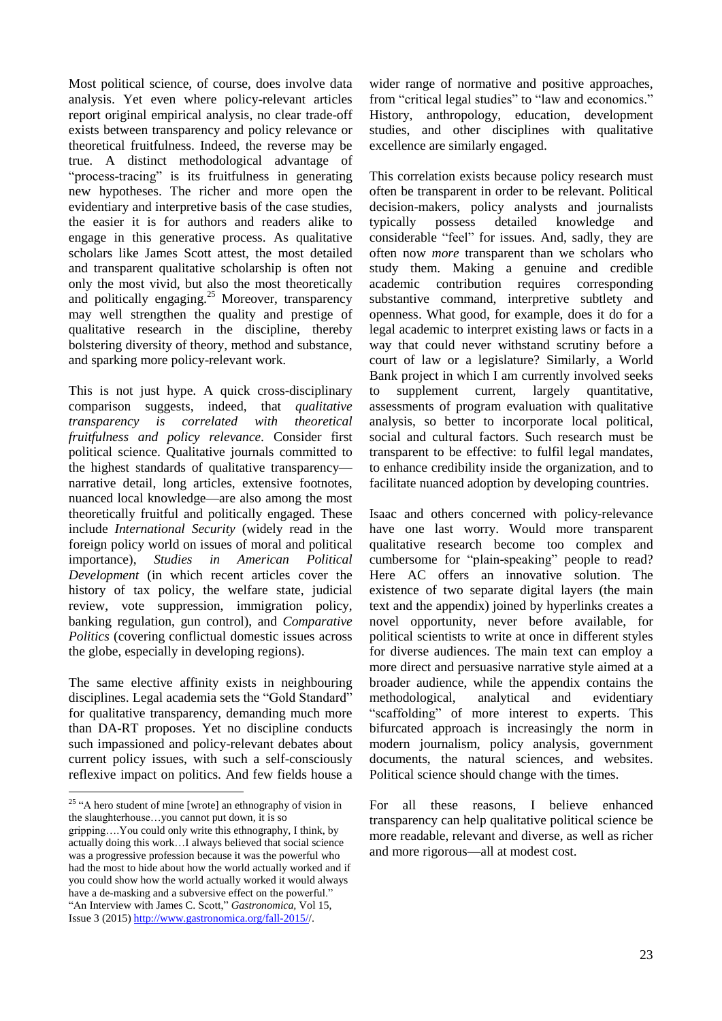Most political science, of course, does involve data analysis. Yet even where policy-relevant articles report original empirical analysis, no clear trade-off exists between transparency and policy relevance or theoretical fruitfulness. Indeed, the reverse may be true. A distinct methodological advantage of "process-tracing" is its fruitfulness in generating new hypotheses. The richer and more open the evidentiary and interpretive basis of the case studies, the easier it is for authors and readers alike to engage in this generative process. As qualitative scholars like James Scott attest, the most detailed and transparent qualitative scholarship is often not only the most vivid, but also the most theoretically and politically engaging.<sup>25</sup> Moreover, transparency may well strengthen the quality and prestige of qualitative research in the discipline, thereby bolstering diversity of theory, method and substance, and sparking more policy-relevant work.

This is not just hype. A quick cross-disciplinary comparison suggests, indeed, that *qualitative transparency is correlated with theoretical fruitfulness and policy relevance.* Consider first political science. Qualitative journals committed to the highest standards of qualitative transparency narrative detail, long articles, extensive footnotes, nuanced local knowledge—are also among the most theoretically fruitful and politically engaged. These include *International Security* (widely read in the foreign policy world on issues of moral and political importance), *Studies in American Political Development* (in which recent articles cover the history of tax policy, the welfare state, judicial review, vote suppression, immigration policy, banking regulation, gun control), and *Comparative Politics* (covering conflictual domestic issues across the globe, especially in developing regions).

The same elective affinity exists in neighbouring disciplines. Legal academia sets the "Gold Standard" for qualitative transparency, demanding much more than DA-RT proposes. Yet no discipline conducts such impassioned and policy-relevant debates about current policy issues, with such a self-consciously reflexive impact on politics. And few fields house a

1

wider range of normative and positive approaches, from "critical legal studies" to "law and economics." History, anthropology, education, development studies, and other disciplines with qualitative excellence are similarly engaged.

This correlation exists because policy research must often be transparent in order to be relevant. Political decision-makers, policy analysts and journalists typically possess detailed knowledge and considerable "feel" for issues. And, sadly, they are often now *more* transparent than we scholars who study them. Making a genuine and credible academic contribution requires corresponding substantive command, interpretive subtlety and openness. What good, for example, does it do for a legal academic to interpret existing laws or facts in a way that could never withstand scrutiny before a court of law or a legislature? Similarly, a World Bank project in which I am currently involved seeks supplement current, largely quantitative, assessments of program evaluation with qualitative analysis, so better to incorporate local political, social and cultural factors. Such research must be transparent to be effective: to fulfil legal mandates, to enhance credibility inside the organization, and to facilitate nuanced adoption by developing countries.

Isaac and others concerned with policy-relevance have one last worry. Would more transparent qualitative research become too complex and cumbersome for "plain-speaking" people to read? Here AC offers an innovative solution. The existence of two separate digital layers (the main text and the appendix) joined by hyperlinks creates a novel opportunity, never before available, for political scientists to write at once in different styles for diverse audiences. The main text can employ a more direct and persuasive narrative style aimed at a broader audience, while the appendix contains the methodological, analytical and evidentiary "scaffolding" of more interest to experts. This bifurcated approach is increasingly the norm in modern journalism, policy analysis, government documents, the natural sciences, and websites. Political science should change with the times.

For all these reasons, I believe enhanced transparency can help qualitative political science be more readable, relevant and diverse, as well as richer and more rigorous—all at modest cost.

 $25$  "A hero student of mine [wrote] an ethnography of vision in the slaughterhouse…you cannot put down, it is so gripping….You could only write this ethnography, I think, by actually doing this work…I always believed that social science was a progressive profession because it was the powerful who had the most to hide about how the world actually worked and if you could show how the world actually worked it would always have a de-masking and a subversive effect on the powerful." "An Interview with James C. Scott," *Gastronomica,* Vol 15, Issue 3 (2015) [http://www.gastronomica.org/fall-2015//](http://www.gastronomica.org/fall-2015/).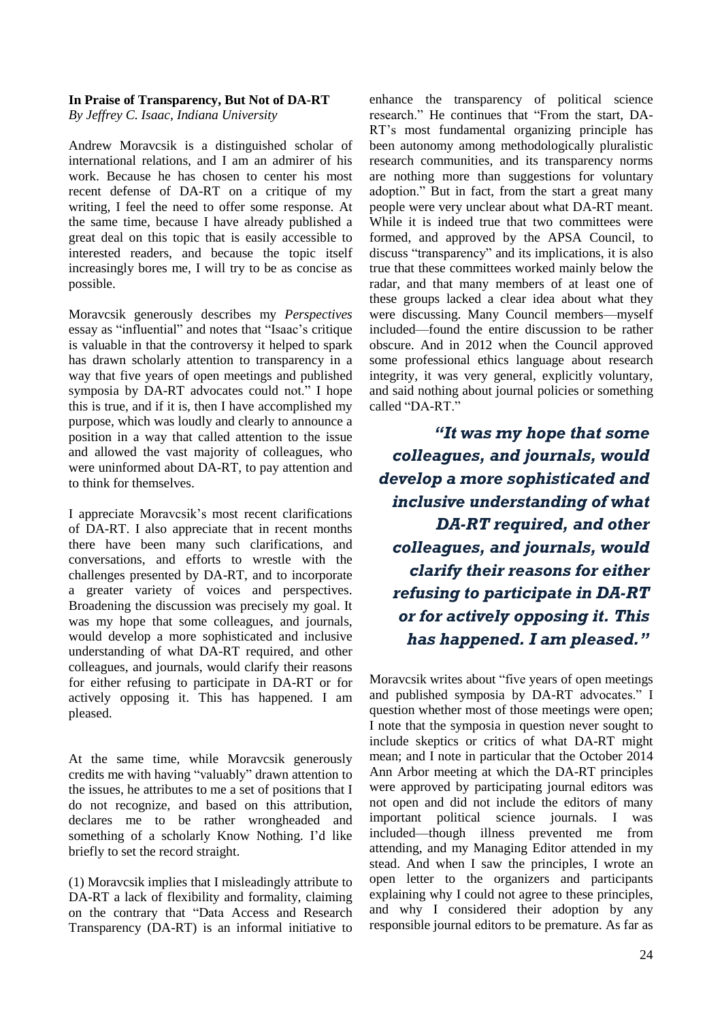### **In Praise of Transparency, But Not of DA-RT**

*By Jeffrey C. Isaac, Indiana University*

Andrew Moravcsik is a distinguished scholar of international relations, and I am an admirer of his work. Because he has chosen to center his most recent defense of DA-RT on a critique of my writing, I feel the need to offer some response. At the same time, because I have already published a great deal on this topic that is easily accessible to interested readers, and because the topic itself increasingly bores me, I will try to be as concise as possible.

Moravcsik generously describes my *Perspectives* essay as "influential" and notes that "Isaac's critique is valuable in that the controversy it helped to spark has drawn scholarly attention to transparency in a way that five years of open meetings and published symposia by DA-RT advocates could not." I hope this is true, and if it is, then I have accomplished my purpose, which was loudly and clearly to announce a position in a way that called attention to the issue and allowed the vast majority of colleagues, who were uninformed about DA-RT, to pay attention and to think for themselves.

I appreciate Moravcsik's most recent clarifications of DA-RT. I also appreciate that in recent months there have been many such clarifications, and conversations, and efforts to wrestle with the challenges presented by DA-RT, and to incorporate a greater variety of voices and perspectives. Broadening the discussion was precisely my goal. It was my hope that some colleagues, and journals, would develop a more sophisticated and inclusive understanding of what DA-RT required, and other colleagues, and journals, would clarify their reasons for either refusing to participate in DA-RT or for actively opposing it. This has happened. I am pleased.

At the same time, while Moravcsik generously credits me with having "valuably" drawn attention to the issues, he attributes to me a set of positions that I do not recognize, and based on this attribution, declares me to be rather wrongheaded and something of a scholarly Know Nothing. I'd like briefly to set the record straight.

(1) Moravcsik implies that I misleadingly attribute to DA-RT a lack of flexibility and formality, claiming on the contrary that "Data Access and Research Transparency (DA-RT) is an informal initiative to enhance the transparency of political science research." He continues that "From the start, DA-RT's most fundamental organizing principle has been autonomy among methodologically pluralistic research communities, and its transparency norms are nothing more than suggestions for voluntary adoption." But in fact, from the start a great many people were very unclear about what DA-RT meant. While it is indeed true that two committees were formed, and approved by the APSA Council, to discuss "transparency" and its implications, it is also true that these committees worked mainly below the radar, and that many members of at least one of these groups lacked a clear idea about what they were discussing. Many Council members—myself included—found the entire discussion to be rather obscure. And in 2012 when the Council approved some professional ethics language about research integrity, it was very general, explicitly voluntary, and said nothing about journal policies or something called "DA-RT."

*"It was my hope that some colleagues, and journals, would develop a more sophisticated and inclusive understanding of what DA-RT required, and other colleagues, and journals, would clarify their reasons for either refusing to participate in DA-RT or for actively opposing it. This has happened. I am pleased."*

Moravcsik writes about "five years of open meetings and published symposia by DA-RT advocates." I question whether most of those meetings were open; I note that the symposia in question never sought to include skeptics or critics of what DA-RT might mean; and I note in particular that the October 2014 Ann Arbor meeting at which the DA-RT principles were approved by participating journal editors was not open and did not include the editors of many important political science journals. I was included—though illness prevented me from attending, and my Managing Editor attended in my stead. And when I saw the principles, I wrote an open letter to the organizers and participants explaining why I could not agree to these principles, and why I considered their adoption by any responsible journal editors to be premature. As far as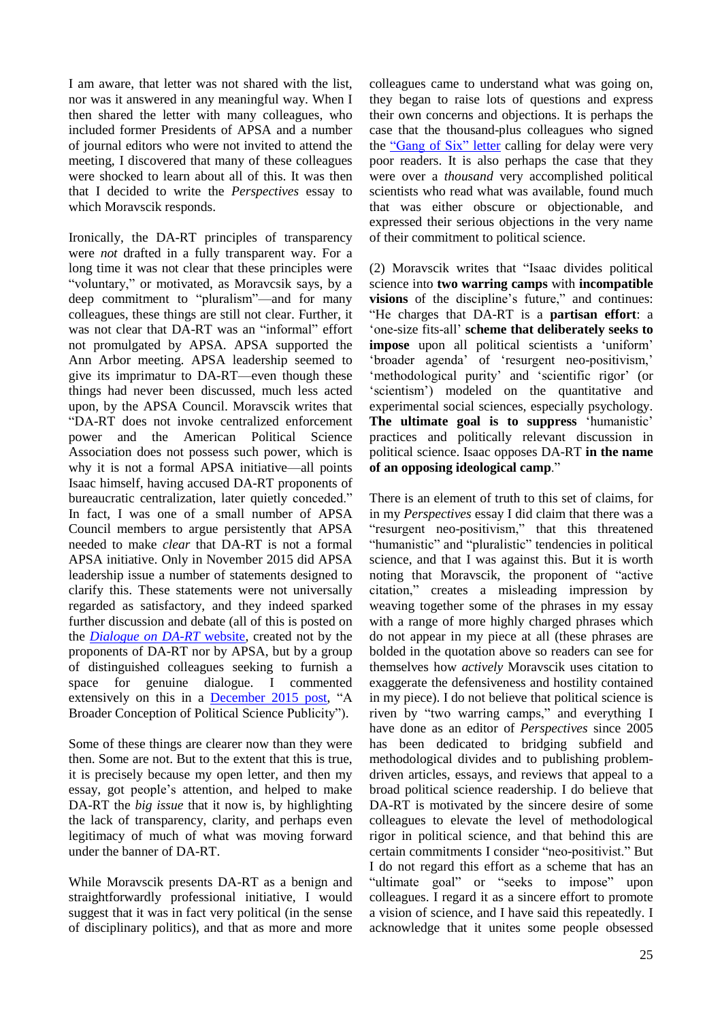I am aware, that letter was not shared with the list, nor was it answered in any meaningful way. When I then shared the letter with many colleagues, who included former Presidents of APSA and a number of journal editors who were not invited to attend the meeting, I discovered that many of these colleagues were shocked to learn about all of this. It was then that I decided to write the *Perspectives* essay to which Moravscik responds.

Ironically, the DA-RT principles of transparency were *not* drafted in a fully transparent way. For a long time it was not clear that these principles were "voluntary," or motivated, as Moravcsik says, by a deep commitment to "pluralism"—and for many colleagues, these things are still not clear. Further, it was not clear that DA-RT was an "informal" effort not promulgated by APSA. APSA supported the Ann Arbor meeting. APSA leadership seemed to give its imprimatur to DA-RT—even though these things had never been discussed, much less acted upon, by the APSA Council. Moravscik writes that "DA-RT does not invoke centralized enforcement power and the American Political Science Association does not possess such power, which is why it is not a formal APSA initiative—all points Isaac himself, having accused DA-RT proponents of bureaucratic centralization, later quietly conceded." In fact, I was one of a small number of APSA Council members to argue persistently that APSA needed to make *clear* that DA-RT is not a formal APSA initiative. Only in November 2015 did APSA leadership issue a number of statements designed to clarify this. These statements were not universally regarded as satisfactory, and they indeed sparked further discussion and debate (all of this is posted on the *[Dialogue](https://dialogueondart.org/) on DA-RT* website, created not by the proponents of DA-RT nor by APSA, but by a group of distinguished colleagues seeking to furnish a space for genuine dialogue. I commented extensively on this in a [December](http://www.the-plot.org/2015/12/03/a-broader-conception-of-political-science-publicity-or-why-i-refuse-da-rt/) 2015 post, "A Broader Conception of Political Science Publicity").

Some of these things are clearer now than they were then. Some are not. But to the extent that this is true, it is precisely because my open letter, and then my essay, got people's attention, and helped to make DA-RT the *big issue* that it now is, by highlighting the lack of transparency, clarity, and perhaps even legitimacy of much of what was moving forward under the banner of DA-RT.

While Moravscik presents DA-RT as a benign and straightforwardly professional initiative, I would suggest that it was in fact very political (in the sense of disciplinary politics), and that as more and more

colleagues came to understand what was going on, they began to raise lots of questions and express their own concerns and objections. It is perhaps the case that the thousand-plus colleagues who signed the ["Gang](https://dialogueondart.org/petition/) of Six" letter calling for delay were very poor readers. It is also perhaps the case that they were over a *thousand* very accomplished political scientists who read what was available, found much that was either obscure or objectionable, and expressed their serious objections in the very name of their commitment to political science.

(2) Moravscik writes that "Isaac divides political science into **two warring camps** with **incompatible** visions of the discipline's future," and continues: "He charges that DA-RT is a **partisan effort**: a 'one-size fits-all' **scheme that deliberately seeks to impose** upon all political scientists a 'uniform' 'broader agenda' of 'resurgent neo-positivism,' 'methodological purity' and 'scientific rigor' (or 'scientism') modeled on the quantitative and experimental social sciences, especially psychology. **The ultimate goal is to suppress** 'humanistic' practices and politically relevant discussion in political science. Isaac opposes DA-RT **in the name of an opposing ideological camp**."

There is an element of truth to this set of claims, for in my *Perspectives* essay I did claim that there was a "resurgent neo-positivism," that this threatened "humanistic" and "pluralistic" tendencies in political science, and that I was against this. But it is worth noting that Moravscik, the proponent of "active citation," creates a misleading impression by weaving together some of the phrases in my essay with a range of more highly charged phrases which do not appear in my piece at all (these phrases are bolded in the quotation above so readers can see for themselves how *actively* Moravscik uses citation to exaggerate the defensiveness and hostility contained in my piece). I do not believe that political science is riven by "two warring camps," and everything I have done as an editor of *Perspectives* since 2005 has been dedicated to bridging subfield and methodological divides and to publishing problemdriven articles, essays, and reviews that appeal to a broad political science readership. I do believe that DA-RT is motivated by the sincere desire of some colleagues to elevate the level of methodological rigor in political science, and that behind this are certain commitments I consider "neo-positivist." But I do not regard this effort as a scheme that has an "ultimate goal" or "seeks to impose" upon colleagues. I regard it as a sincere effort to promote a vision of science, and I have said this repeatedly. I acknowledge that it unites some people obsessed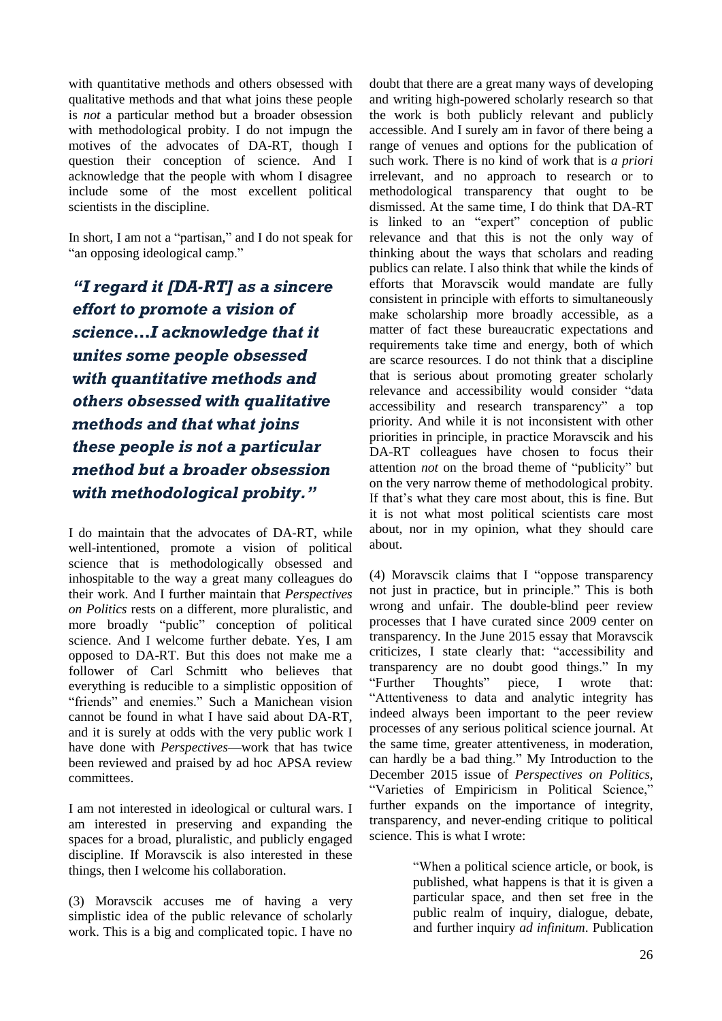with quantitative methods and others obsessed with qualitative methods and that what joins these people is *not* a particular method but a broader obsession with methodological probity. I do not impugn the motives of the advocates of DA-RT, though I question their conception of science. And I acknowledge that the people with whom I disagree include some of the most excellent political scientists in the discipline.

In short, I am not a "partisan," and I do not speak for "an opposing ideological camp."

*"I regard it [DA-RT] as a sincere effort to promote a vision of science…I acknowledge that it unites some people obsessed with quantitative methods and others obsessed with qualitative methods and that what joins these people is not a particular method but a broader obsession with methodological probity."*

I do maintain that the advocates of DA-RT, while well-intentioned, promote a vision of political science that is methodologically obsessed and inhospitable to the way a great many colleagues do their work. And I further maintain that *Perspectives on Politics* rests on a different, more pluralistic, and more broadly "public" conception of political science. And I welcome further debate. Yes, I am opposed to DA-RT. But this does not make me a follower of Carl Schmitt who believes that everything is reducible to a simplistic opposition of "friends" and enemies." Such a Manichean vision cannot be found in what I have said about DA-RT, and it is surely at odds with the very public work I have done with *Perspectives*—work that has twice been reviewed and praised by ad hoc APSA review committees.

I am not interested in ideological or cultural wars. I am interested in preserving and expanding the spaces for a broad, pluralistic, and publicly engaged discipline. If Moravscik is also interested in these things, then I welcome his collaboration.

(3) Moravscik accuses me of having a very simplistic idea of the public relevance of scholarly work. This is a big and complicated topic. I have no

doubt that there are a great many ways of developing and writing high-powered scholarly research so that the work is both publicly relevant and publicly accessible. And I surely am in favor of there being a range of venues and options for the publication of such work. There is no kind of work that is *a priori* irrelevant, and no approach to research or to methodological transparency that ought to be dismissed. At the same time, I do think that DA-RT is linked to an "expert" conception of public relevance and that this is not the only way of thinking about the ways that scholars and reading publics can relate. I also think that while the kinds of efforts that Moravscik would mandate are fully consistent in principle with efforts to simultaneously make scholarship more broadly accessible, as a matter of fact these bureaucratic expectations and requirements take time and energy, both of which are scarce resources. I do not think that a discipline that is serious about promoting greater scholarly relevance and accessibility would consider "data accessibility and research transparency" a top priority. And while it is not inconsistent with other priorities in principle, in practice Moravscik and his DA-RT colleagues have chosen to focus their attention *not* on the broad theme of "publicity" but on the very narrow theme of methodological probity. If that's what they care most about, this is fine. But it is not what most political scientists care most about, nor in my opinion, what they should care about.

(4) Moravscik claims that I "oppose transparency not just in practice, but in principle." This is both wrong and unfair. The double-blind peer review processes that I have curated since 2009 center on transparency. In the June 2015 essay that Moravscik criticizes, I state clearly that: "accessibility and transparency are no doubt good things." In my "Further Thoughts" piece, I wrote that: "Attentiveness to data and analytic integrity has indeed always been important to the peer review processes of any serious political science journal. At the same time, greater attentiveness, in moderation, can hardly be a bad thing." My Introduction to the December 2015 issue of *Perspectives on Politics*, "Varieties of Empiricism in Political Science," further expands on the importance of integrity, transparency, and never-ending critique to political science. This is what I wrote:

> "When a political science article, or book, is published, what happens is that it is given a particular space, and then set free in the public realm of inquiry, dialogue, debate, and further inquiry *ad infinitum*. Publication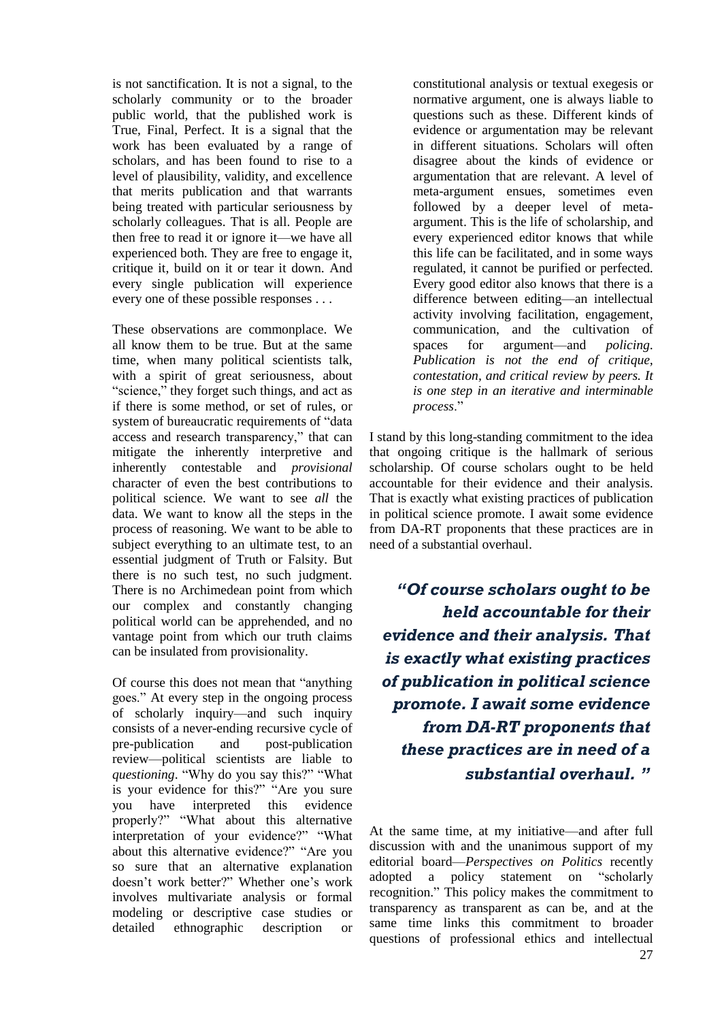is not sanctification. It is not a signal, to the scholarly community or to the broader public world, that the published work is True, Final, Perfect. It is a signal that the work has been evaluated by a range of scholars, and has been found to rise to a level of plausibility, validity, and excellence that merits publication and that warrants being treated with particular seriousness by scholarly colleagues. That is all. People are then free to read it or ignore it—we have all experienced both. They are free to engage it, critique it, build on it or tear it down. And every single publication will experience every one of these possible responses . . .

These observations are commonplace. We all know them to be true. But at the same time, when many political scientists talk, with a spirit of great seriousness, about "science," they forget such things, and act as if there is some method, or set of rules, or system of bureaucratic requirements of "data access and research transparency," that can mitigate the inherently interpretive and inherently contestable and *provisional* character of even the best contributions to political science. We want to see *all* the data. We want to know all the steps in the process of reasoning. We want to be able to subject everything to an ultimate test, to an essential judgment of Truth or Falsity. But there is no such test, no such judgment. There is no Archimedean point from which our complex and constantly changing political world can be apprehended, and no vantage point from which our truth claims can be insulated from provisionality.

Of course this does not mean that "anything goes." At every step in the ongoing process of scholarly inquiry—and such inquiry consists of a never-ending recursive cycle of pre-publication and post-publication review—political scientists are liable to *questioning*. "Why do you say this?" "What is your evidence for this?" "Are you sure you have interpreted this evidence properly?" "What about this alternative interpretation of your evidence?" "What about this alternative evidence?" "Are you so sure that an alternative explanation doesn't work better?" Whether one's work involves multivariate analysis or formal modeling or descriptive case studies or detailed ethnographic description or

constitutional analysis or textual exegesis or normative argument, one is always liable to questions such as these. Different kinds of evidence or argumentation may be relevant in different situations. Scholars will often disagree about the kinds of evidence or argumentation that are relevant. A level of meta-argument ensues, sometimes even followed by a deeper level of metaargument. This is the life of scholarship, and every experienced editor knows that while this life can be facilitated, and in some ways regulated, it cannot be purified or perfected. Every good editor also knows that there is a difference between editing—an intellectual activity involving facilitation, engagement, communication, and the cultivation of spaces for argument—and *policing*. *Publication is not the end of critique, contestation, and critical review by peers. It is one step in an iterative and interminable process*."

I stand by this long-standing commitment to the idea that ongoing critique is the hallmark of serious scholarship. Of course scholars ought to be held accountable for their evidence and their analysis. That is exactly what existing practices of publication in political science promote. I await some evidence from DA-RT proponents that these practices are in need of a substantial overhaul.

*"Of course scholars ought to be held accountable for their evidence and their analysis. That is exactly what existing practices of publication in political science promote. I await some evidence from DA-RT proponents that these practices are in need of a substantial overhaul. "*

At the same time, at my initiative—and after full discussion with and the unanimous support of my editorial board—*Perspectives on Politics* recently adopted a policy statement on recognition." This policy makes the commitment to transparency as transparent as can be, and at the same time links this commitment to broader questions of professional ethics and intellectual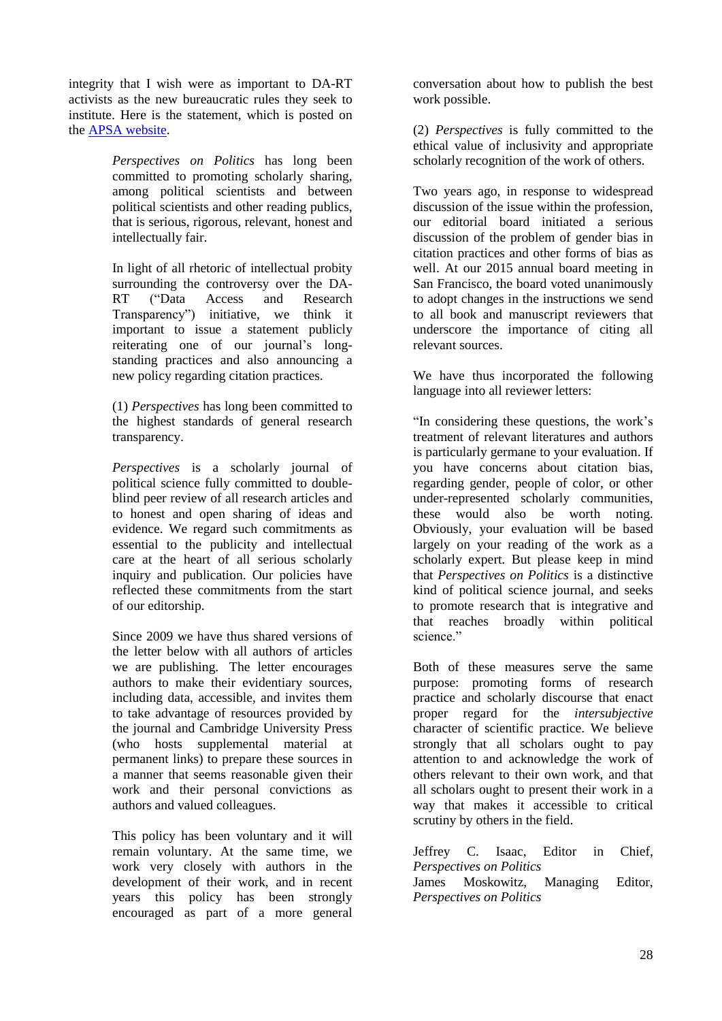integrity that I wish were as important to DA-RT activists as the new bureaucratic rules they seek to institute. Here is the statement, which is posted on the APSA [website.](http://www.apsanet.org/LinkClick.aspx?fileticket=_0ssKGv37eo%3d&portalid=54)

> *Perspectives on Politics* has long been committed to promoting scholarly sharing, among political scientists and between political scientists and other reading publics, that is serious, rigorous, relevant, honest and intellectually fair.

> In light of all rhetoric of intellectual probity surrounding the controversy over the DA-RT ("Data Access and Research Transparency") initiative, we think it important to issue a statement publicly reiterating one of our journal's longstanding practices and also announcing a new policy regarding citation practices.

(1) *Perspectives* has long been committed to the highest standards of general research transparency.

*Perspectives* is a scholarly journal of political science fully committed to doubleblind peer review of all research articles and to honest and open sharing of ideas and evidence. We regard such commitments as essential to the publicity and intellectual care at the heart of all serious scholarly inquiry and publication. Our policies have reflected these commitments from the start of our editorship.

Since 2009 we have thus shared versions of the letter below with all authors of articles we are publishing. The letter encourages authors to make their evidentiary sources, including data, accessible, and invites them to take advantage of resources provided by the journal and Cambridge University Press (who hosts supplemental material at permanent links) to prepare these sources in a manner that seems reasonable given their work and their personal convictions as authors and valued colleagues.

This policy has been voluntary and it will remain voluntary. At the same time, we work very closely with authors in the development of their work, and in recent years this policy has been strongly encouraged as part of a more general

conversation about how to publish the best work possible.

(2) *Perspectives* is fully committed to the ethical value of inclusivity and appropriate scholarly recognition of the work of others.

Two years ago, in response to widespread discussion of the issue within the profession, our editorial board initiated a serious discussion of the problem of gender bias in citation practices and other forms of bias as well. At our 2015 annual board meeting in San Francisco, the board voted unanimously to adopt changes in the instructions we send to all book and manuscript reviewers that underscore the importance of citing all relevant sources.

We have thus incorporated the following language into all reviewer letters:

"In considering these questions, the work's treatment of relevant literatures and authors is particularly germane to your evaluation. If you have concerns about citation bias, regarding gender, people of color, or other under-represented scholarly communities, these would also be worth noting. Obviously, your evaluation will be based largely on your reading of the work as a scholarly expert. But please keep in mind that *Perspectives on Politics* is a distinctive kind of political science journal, and seeks to promote research that is integrative and that reaches broadly within political science"

Both of these measures serve the same purpose: promoting forms of research practice and scholarly discourse that enact proper regard for the *intersubjective* character of scientific practice. We believe strongly that all scholars ought to pay attention to and acknowledge the work of others relevant to their own work, and that all scholars ought to present their work in a way that makes it accessible to critical scrutiny by others in the field.

Jeffrey C. Isaac, Editor in Chief, *Perspectives on Politics* James Moskowitz, Managing Editor, *Perspectives on Politics*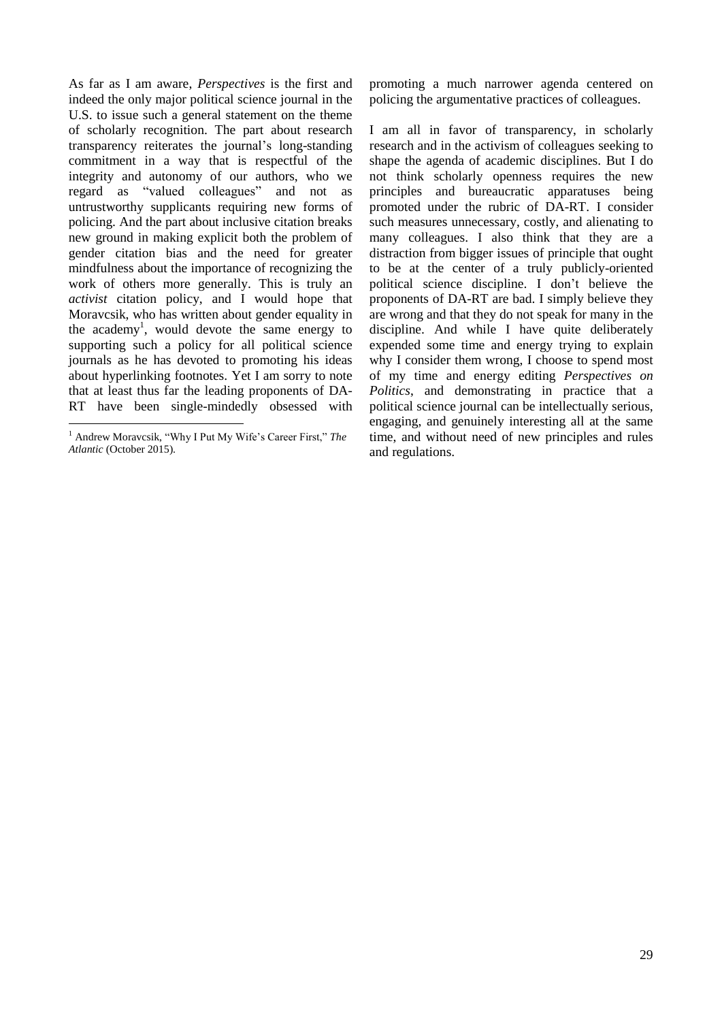As far as I am aware, *Perspectives* is the first and indeed the only major political science journal in the U.S. to issue such a general statement on the theme of scholarly recognition. The part about research transparency reiterates the journal's long-standing commitment in a way that is respectful of the integrity and autonomy of our authors, who we regard as "valued colleagues" and not as untrustworthy supplicants requiring new forms of policing. And the part about inclusive citation breaks new ground in making explicit both the problem of gender citation bias and the need for greater mindfulness about the importance of recognizing the work of others more generally. This is truly an *activist* citation policy, and I would hope that Moravcsik, who has written about gender equality in the academy<sup>1</sup>, would devote the same energy to supporting such a policy for all political science journals as he has devoted to promoting his ideas about hyperlinking footnotes. Yet I am sorry to note that at least thus far the leading proponents of DA-RT have been single-mindedly obsessed with

1

promoting a much narrower agenda centered on policing the argumentative practices of colleagues.

I am all in favor of transparency, in scholarly research and in the activism of colleagues seeking to shape the agenda of academic disciplines. But I do not think scholarly openness requires the new principles and bureaucratic apparatuses being promoted under the rubric of DA-RT. I consider such measures unnecessary, costly, and alienating to many colleagues. I also think that they are a distraction from bigger issues of principle that ought to be at the center of a truly publicly-oriented political science discipline. I don't believe the proponents of DA-RT are bad. I simply believe they are wrong and that they do not speak for many in the discipline. And while I have quite deliberately expended some time and energy trying to explain why I consider them wrong, I choose to spend most of my time and energy editing *Perspectives on Politics*, and demonstrating in practice that a political science journal can be intellectually serious, engaging, and genuinely interesting all at the same time, and without need of new principles and rules and regulations.

<sup>1</sup> Andrew Moravcsik, "Why I Put My Wife's Career First," *The Atlantic* (October 2015).